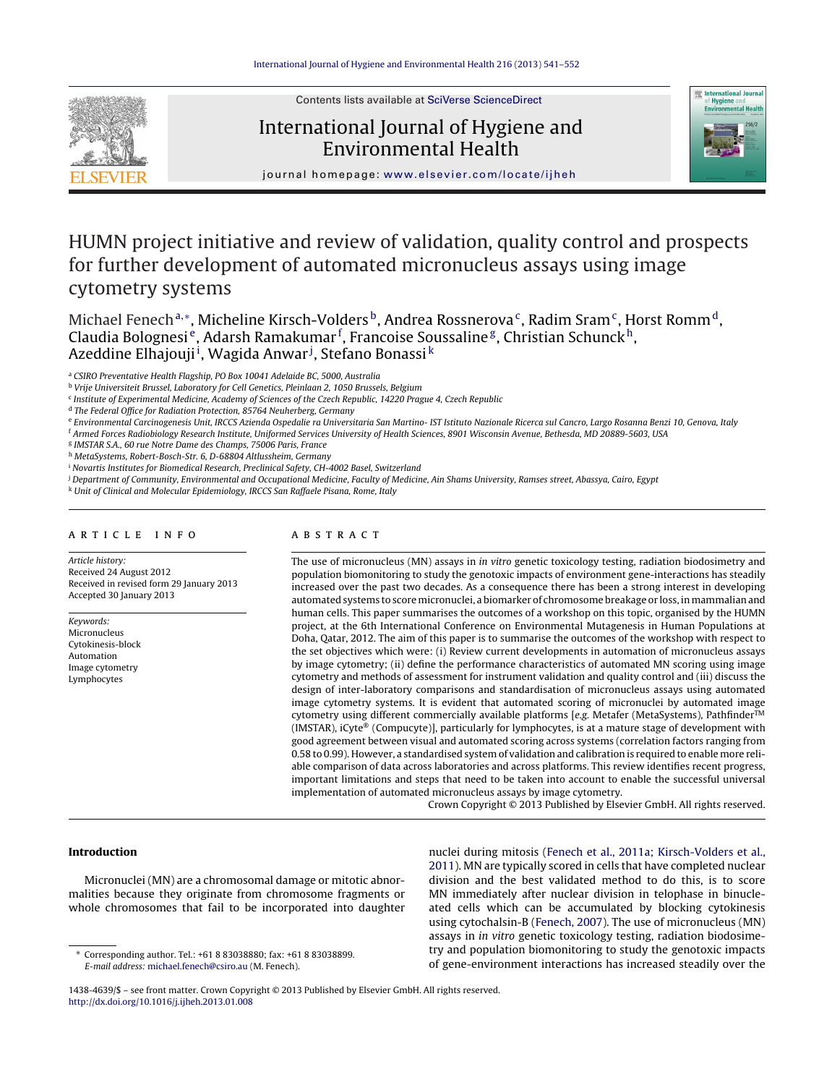

Contents lists available at SciVerse [ScienceDirect](http://www.sciencedirect.com/science/journal/14384639)

# International Journal of Hygiene and Environmental Health



journal homepage: [www.elsevier.com/locate/ijheh](http://www.elsevier.com/locate/ijheh)

# HUMN project initiative and review of validation, quality control and prospects for further development of automated micronucleus assays using image cytometry systems

Michael Fenech<sup>a,∗</sup>, Micheline Kirsch-Volders<sup>b</sup>, Andrea Rossnerova<sup>c</sup>, Radim Sram<sup>c</sup>, Horst Romm<sup>d</sup>, Claudia Bolognesi<sup>e</sup>, Adarsh Ramakumar<sup>f</sup>, Francoise Soussaline<sup>g</sup>, Christian Schunck<sup>h</sup>, Azeddine Elhajouji<sup>i</sup>, Wagida Anwar<sup>j</sup>, Stefano Bonassi<sup>k</sup>

<sup>a</sup> CSIRO Preventative Health Flagship, PO Box 10041 Adelaide BC, 5000, Australia

<sup>b</sup> Vrije Universiteit Brussel, Laboratory for Cell Genetics, Pleinlaan 2, 1050 Brussels, Belgium

 $c$  Institute of Experimental Medicine, Academy of Sciences of the Czech Republic, 14220 Prague 4, Czech Republic

<sup>d</sup> The Federal Office for Radiation Protection, 85764 Neuherberg, Germany

e Environmental Carcinogenesis Unit, IRCCS Azienda Ospedalie ra Universitaria San Martino- IST Istituto Nazionale Ricerca sul Cancro, Largo Rosanna Benzi 10, Genova, Italy

<sup>f</sup> Armed Forces Radiobiology Research Institute, Uniformed Services University of Health Sciences, 8901 Wisconsin Avenue, Bethesda, MD 20889-5603, USA

<sup>g</sup> IMSTAR S.A., 60 rue Notre Dame des Champs, 75006 Paris, France

<sup>h</sup> MetaSystems, Robert-Bosch-Str. 6, D-68804 Altlussheim, Germany

<sup>i</sup> Novartis Institutes for Biomedical Research, Preclinical Safety, CH-4002 Basel, Switzerland

<sup>j</sup> Department of Community, Environmental and Occupational Medicine, Faculty of Medicine, Ain Shams University, Ramses street, Abassya, Cairo, Egypt

<sup>k</sup> Unit of Clinical and Molecular Epidemiology, IRCCS San Raffaele Pisana, Rome, Italy

## a r t i c l e i n f o

Article history: Received 24 August 2012 Received in revised form 29 January 2013 Accepted 30 January 2013

Keywords: Micronucleus Cytokinesis-block Automation Image cytometry Lymphocytes

### a b s t r a c t

The use of micronucleus (MN) assays in in vitro genetic toxicology testing, radiation biodosimetry and population biomonitoring to study the genotoxic impacts of environment gene-interactions has steadily increased over the past two decades. As a consequence there has been a strong interest in developing automated systems to scoremicronuclei, a biomarker of chromosome breakage or loss, inmammalian and human cells. This paper summarises the outcomes of a workshop on this topic, organised by the HUMN project, at the 6th International Conference on Environmental Mutagenesis in Human Populations at Doha, Qatar, 2012. The aim of this paper is to summarise the outcomes of the workshop with respect to the set objectives which were: (i) Review current developments in automation of micronucleus assays by image cytometry; (ii) define the performance characteristics of automated MN scoring using image cytometry and methods of assessment for instrument validation and quality control and (iii) discuss the design of inter-laboratory comparisons and standardisation of micronucleus assays using automated image cytometry systems. It is evident that automated scoring of micronuclei by automated image cytometry using different commercially available platforms [e.g. Metafer (MetaSystems), Pathfinder<sup>TM</sup> (IMSTAR), iCyte® (Compucyte)], particularly for lymphocytes, is at a mature stage of development with good agreement between visual and automated scoring across systems (correlation factors ranging from 0.58 to 0.99). However, a standardised system of validation and calibration is required to enable more reliable comparison of data across laboratories and across platforms. This review identifies recent progress, important limitations and steps that need to be taken into account to enable the successful universal implementation of automated micronucleus assays by image cytometry.

Crown Copyright © 2013 Published by Elsevier GmbH. All rights reserved.

## **Introduction**

Micronuclei (MN) are a chromosomal damage or mitotic abnormalities because they originate from chromosome fragments or whole chromosomes that fail to be incorporated into daughter nuclei during mitosis [\(Fenech](#page-10-0) et [al.,](#page-10-0) [2011a;](#page-10-0) [Kirsch-Volders](#page-10-0) et [al.,](#page-10-0) [2011\).](#page-10-0) MN are typically scored in cells that have completed nuclear division and the best validated method to do this, is to score MN immediately after nuclear division in telophase in binucleated cells which can be accumulated by blocking cytokinesis using cytochalsin-B ([Fenech,](#page-10-0) [2007\).](#page-10-0) The use of micronucleus (MN) assays in in vitro genetic toxicology testing, radiation biodosimetry and population biomonitoring to study the genotoxic impacts of gene-environment interactions has increased steadily over the

1438-4639/\$ – see front matter. Crown Copyright © 2013 Published by Elsevier GmbH. All rights reserved. [http://dx.doi.org/10.1016/j.ijheh.2013.01.008](dx.doi.org/10.1016/j.ijheh.2013.01.008)

<sup>∗</sup> Corresponding author. Tel.: +61 8 83038880; fax: +61 8 83038899. E-mail address: [michael.fenech@csiro.au](mailto:michael.fenech@csiro.au) (M. Fenech).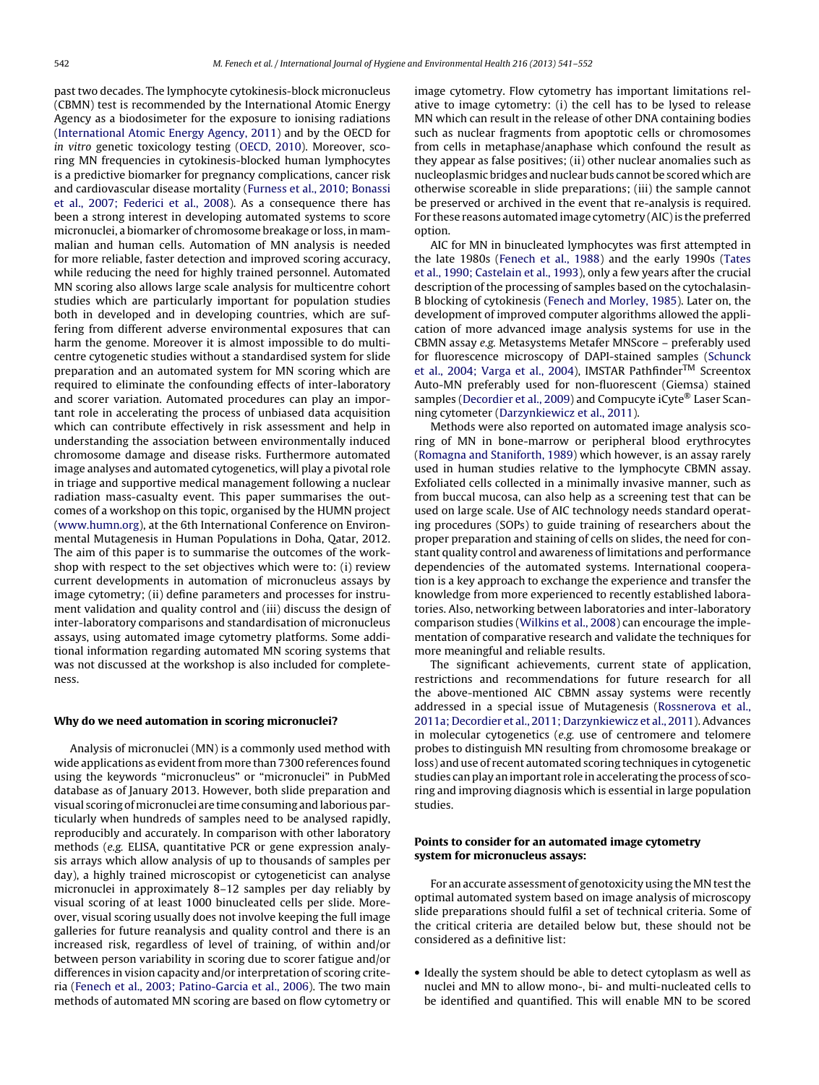past two decades. The lymphocyte cytokinesis-block micronucleus (CBMN) test is recommended by the International Atomic Energy Agency as a biodosimeter for the exposure to ionising radiations ([International](#page-11-0) [Atomic](#page-11-0) [Energy](#page-11-0) [Agency,](#page-11-0) [2011\)](#page-11-0) and by the OECD for in vitro genetic toxicology testing ([OECD,](#page-11-0) [2010\).](#page-11-0) Moreover, scoring MN frequencies in cytokinesis-blocked human lymphocytes is a predictive biomarker for pregnancy complications, cancer risk and cardiovascular disease mortality ([Furness](#page-10-0) et [al.,](#page-10-0) [2010;](#page-10-0) [Bonassi](#page-10-0) et [al.,](#page-10-0) [2007;](#page-10-0) [Federici](#page-10-0) et [al.,](#page-10-0) [2008\).](#page-10-0) As a consequence there has been a strong interest in developing automated systems to score micronuclei, a biomarker of chromosome breakage or loss, in mammalian and human cells. Automation of MN analysis is needed for more reliable, faster detection and improved scoring accuracy, while reducing the need for highly trained personnel. Automated MN scoring also allows large scale analysis for multicentre cohort studies which are particularly important for population studies both in developed and in developing countries, which are suffering from different adverse environmental exposures that can harm the genome. Moreover it is almost impossible to do multicentre cytogenetic studies without a standardised system for slide preparation and an automated system for MN scoring which are required to eliminate the confounding effects of inter-laboratory and scorer variation. Automated procedures can play an important role in accelerating the process of unbiased data acquisition which can contribute effectively in risk assessment and help in understanding the association between environmentally induced chromosome damage and disease risks. Furthermore automated image analyses and automated cytogenetics, will play a pivotal role in triage and supportive medical management following a nuclear radiation mass-casualty event. This paper summarises the outcomes of a workshop on this topic, organised by the HUMN project ([www.humn.org\)](http://www.humn.org/), at the 6th International Conference on Environmental Mutagenesis in Human Populations in Doha, Qatar, 2012. The aim of this paper is to summarise the outcomes of the workshop with respect to the set objectives which were to: (i) review current developments in automation of micronucleus assays by image cytometry; (ii) define parameters and processes for instrument validation and quality control and (iii) discuss the design of inter-laboratory comparisons and standardisation of micronucleus assays, using automated image cytometry platforms. Some additional information regarding automated MN scoring systems that was not discussed at the workshop is also included for completeness.

#### **Why do we need automation in scoring micronuclei?**

Analysis of micronuclei (MN) is a commonly used method with wide applications as evident from more than 7300 references found using the keywords "micronucleus" or "micronuclei" in PubMed database as of January 2013. However, both slide preparation and visual scoring of micronuclei are time consuming and laborious particularly when hundreds of samples need to be analysed rapidly, reproducibly and accurately. In comparison with other laboratory methods (e.g. ELISA, quantitative PCR or gene expression analysis arrays which allow analysis of up to thousands of samples per day), a highly trained microscopist or cytogeneticist can analyse micronuclei in approximately 8–12 samples per day reliably by visual scoring of at least 1000 binucleated cells per slide. Moreover, visual scoring usually does not involve keeping the full image galleries for future reanalysis and quality control and there is an increased risk, regardless of level of training, of within and/or between person variability in scoring due to scorer fatigue and/or differences in vision capacity and/or interpretation of scoring criteria ([Fenech](#page-10-0) et [al.,](#page-10-0) [2003;](#page-10-0) [Patino-Garcia](#page-10-0) et [al.,](#page-10-0) [2006\).](#page-10-0) The two main methods of automated MN scoring are based on flow cytometry or

image cytometry. Flow cytometry has important limitations relative to image cytometry: (i) the cell has to be lysed to release MN which can result in the release of other DNA containing bodies such as nuclear fragments from apoptotic cells or chromosomes from cells in metaphase/anaphase which confound the result as they appear as false positives; (ii) other nuclear anomalies such as nucleoplasmic bridges and nuclear buds cannot be scored which are otherwise scoreable in slide preparations; (iii) the sample cannot be preserved or archived in the event that re-analysis is required. For these reasons automated image cytometry (AIC) is the preferred option.

AIC for MN in binucleated lymphocytes was first attempted in the late 1980s ([Fenech](#page-10-0) et [al.,](#page-10-0) [1988\)](#page-10-0) and the early 1990s ([Tates](#page-11-0) et [al.,](#page-11-0) [1990;](#page-11-0) [Castelain](#page-11-0) et [al.,](#page-11-0) [1993\),](#page-11-0) only a few years after the crucial description of the processing of samples based on the cytochalasin-B blocking of cytokinesis [\(Fenech](#page-10-0) [and](#page-10-0) [Morley,](#page-10-0) [1985\).](#page-10-0) Later on, the development of improved computer algorithms allowed the application of more advanced image analysis systems for use in the CBMN assay e.g. Metasystems Metafer MNScore – preferably used for fluorescence microscopy of DAPI-stained samples [\(Schunck](#page-11-0) et [al.,](#page-11-0) [2004;](#page-11-0) [Varga](#page-11-0) et [al.,](#page-11-0) [2004\),](#page-11-0) IMSTAR PathfinderTM Screentox Auto-MN preferably used for non-fluorescent (Giemsa) stained samples [\(Decordier](#page-10-0) et [al.,](#page-10-0) [2009\)](#page-10-0) and Compucyte iCyte® Laser Scanning cytometer ([Darzynkiewicz](#page-10-0) et [al.,](#page-10-0) [2011\).](#page-10-0)

Methods were also reported on automated image analysis scoring of MN in bone-marrow or peripheral blood erythrocytes [\(Romagna](#page-11-0) [and](#page-11-0) [Staniforth,](#page-11-0) [1989\)](#page-11-0) which however, is an assay rarely used in human studies relative to the lymphocyte CBMN assay. Exfoliated cells collected in a minimally invasive manner, such as from buccal mucosa, can also help as a screening test that can be used on large scale. Use of AIC technology needs standard operating procedures (SOPs) to guide training of researchers about the proper preparation and staining of cells on slides, the need for constant quality control and awareness of limitations and performance dependencies of the automated systems. International cooperation is a key approach to exchange the experience and transfer the knowledge from more experienced to recently established laboratories. Also, networking between laboratories and inter-laboratory comparison studies [\(Wilkins](#page-11-0) et [al.,](#page-11-0) [2008\)](#page-11-0) can encourage the implementation of comparative research and validate the techniques for more meaningful and reliable results.

The significant achievements, current state of application, restrictions and recommendations for future research for all the above-mentioned AIC CBMN assay systems were recently addressed in a special issue of Mutagenesis ([Rossnerova](#page-11-0) et [al.,](#page-11-0) [2011a;](#page-11-0) [Decordier](#page-11-0) et [al.,](#page-11-0) [2011;](#page-11-0) [Darzynkiewicz](#page-11-0) et [al.,](#page-11-0) [2011\).](#page-11-0) Advances in molecular cytogenetics (e.g. use of centromere and telomere probes to distinguish MN resulting from chromosome breakage or loss) and use of recent automated scoring techniques in cytogenetic studies can play an important role in accelerating the process of scoring and improving diagnosis which is essential in large population studies.

#### **Points to consider for an automated image cytometry system for micronucleus assays:**

For an accurate assessment of genotoxicity using the MN test the optimal automated system based on image analysis of microscopy slide preparations should fulfil a set of technical criteria. Some of the critical criteria are detailed below but, these should not be considered as a definitive list:

• Ideally the system should be able to detect cytoplasm as well as nuclei and MN to allow mono-, bi- and multi-nucleated cells to be identified and quantified. This will enable MN to be scored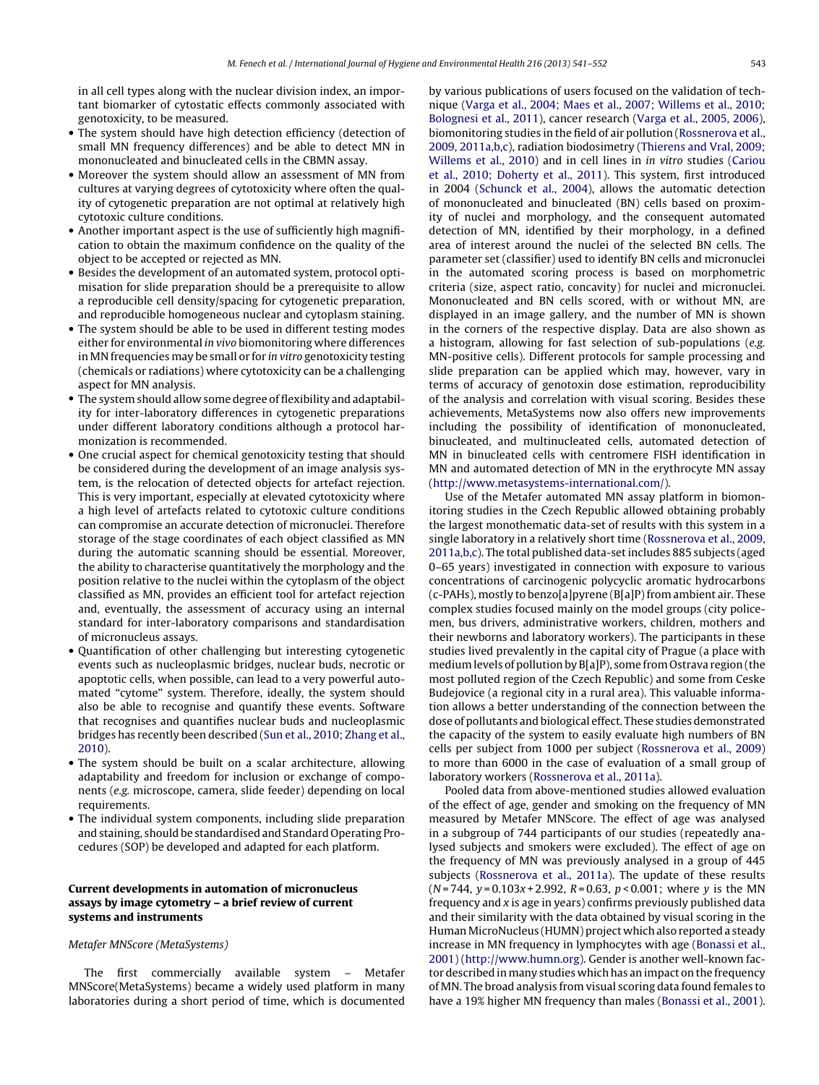in all cell types along with the nuclear division index, an important biomarker of cytostatic effects commonly associated with genotoxicity, to be measured.

- The system should have high detection efficiency (detection of small MN frequency differences) and be able to detect MN in mononucleated and binucleated cells in the CBMN assay.
- Moreover the system should allow an assessment of MN from cultures at varying degrees of cytotoxicity where often the quality of cytogenetic preparation are not optimal at relatively high cytotoxic culture conditions.
- Another important aspect is the use of sufficiently high magnification to obtain the maximum confidence on the quality of the object to be accepted or rejected as MN.
- Besides the development of an automated system, protocol optimisation for slide preparation should be a prerequisite to allow a reproducible cell density/spacing for cytogenetic preparation, and reproducible homogeneous nuclear and cytoplasm staining.
- The system should be able to be used in different testing modes either for environmental in vivo biomonitoring where differences in MN frequencies may be small or for in vitro genotoxicity testing (chemicals or radiations) where cytotoxicity can be a challenging aspect for MN analysis.
- The system should allow some degree of flexibility and adaptability for inter-laboratory differences in cytogenetic preparations under different laboratory conditions although a protocol harmonization is recommended.
- One crucial aspect for chemical genotoxicity testing that should be considered during the development of an image analysis system, is the relocation of detected objects for artefact rejection. This is very important, especially at elevated cytotoxicity where a high level of artefacts related to cytotoxic culture conditions can compromise an accurate detection of micronuclei. Therefore storage of the stage coordinates of each object classified as MN during the automatic scanning should be essential. Moreover, the ability to characterise quantitatively the morphology and the position relative to the nuclei within the cytoplasm of the object classified as MN, provides an efficient tool for artefact rejection and, eventually, the assessment of accuracy using an internal standard for inter-laboratory comparisons and standardisation of micronucleus assays.
- Quantification of other challenging but interesting cytogenetic events such as nucleoplasmic bridges, nuclear buds, necrotic or apoptotic cells, when possible, can lead to a very powerful automated "cytome" system. Therefore, ideally, the system should also be able to recognise and quantify these events. Software that recognises and quantifies nuclear buds and nucleoplasmic bridges has recently been described ([Sun](#page-11-0) et [al.,](#page-11-0) [2010;](#page-11-0) [Zhang](#page-11-0) et [al.,](#page-11-0) [2010\).](#page-11-0)
- The system should be built on a scalar architecture, allowing adaptability and freedom for inclusion or exchange of components (e.g. microscope, camera, slide feeder) depending on local requirements.
- The individual system components, including slide preparation and staining, should be standardised and Standard Operating Procedures (SOP) be developed and adapted for each platform.

# **Current developments in automation of micronucleus assays by image cytometry – a brief review of current systems and instruments**

## Metafer MNScore (MetaSystems)

The first commercially available system – Metafer MNScore(MetaSystems) became a widely used platform in many laboratories during a short period of time, which is documented by various publications of users focused on the validation of technique ([Varga](#page-11-0) et [al.,](#page-11-0) [2004;](#page-11-0) [Maes](#page-11-0) et [al.,](#page-11-0) [2007;](#page-11-0) [Willems](#page-11-0) et [al.,](#page-11-0) [2010;](#page-11-0) [Bolognesi](#page-11-0) et [al.,](#page-11-0) [2011\),](#page-11-0) cancer research ([Varga](#page-11-0) et [al.,](#page-11-0) [2005,](#page-11-0) [2006\),](#page-11-0) biomonitoring studies in the field of air pollution [\(Rossnerova](#page-11-0) et [al.,](#page-11-0) [2009,](#page-11-0) [2011a,b,c\),](#page-11-0) radiation biodosimetry ([Thierens](#page-11-0) [and](#page-11-0) [Vral,](#page-11-0) [2009;](#page-11-0) [Willems](#page-11-0) et [al.,](#page-11-0) [2010\)](#page-11-0) and in cell lines in in vitro studies ([Cariou](#page-10-0) et [al.,](#page-10-0) [2010;](#page-10-0) [Doherty](#page-10-0) et [al.,](#page-10-0) [2011\).](#page-10-0) This system, first introduced in 2004 ([Schunck](#page-11-0) et [al.,](#page-11-0) [2004\),](#page-11-0) allows the automatic detection of mononucleated and binucleated (BN) cells based on proximity of nuclei and morphology, and the consequent automated detection of MN, identified by their morphology, in a defined area of interest around the nuclei of the selected BN cells. The parameter set (classifier) used to identify BN cells and micronuclei in the automated scoring process is based on morphometric criteria (size, aspect ratio, concavity) for nuclei and micronuclei. Mononucleated and BN cells scored, with or without MN, are displayed in an image gallery, and the number of MN is shown in the corners of the respective display. Data are also shown as a histogram, allowing for fast selection of sub-populations (e.g. MN-positive cells). Different protocols for sample processing and slide preparation can be applied which may, however, vary in terms of accuracy of genotoxin dose estimation, reproducibility of the analysis and correlation with visual scoring. Besides these achievements, MetaSystems now also offers new improvements including the possibility of identification of mononucleated, binucleated, and multinucleated cells, automated detection of MN in binucleated cells with centromere FISH identification in MN and automated detection of MN in the erythrocyte MN assay [\(http://www.metasystems-international.com/](http://www.metasystems-international.com/)).

Use of the Metafer automated MN assay platform in biomonitoring studies in the Czech Republic allowed obtaining probably the largest monothematic data-set of results with this system in a single laboratory in a relatively short time ([Rossnerova](#page-11-0) et [al.,](#page-11-0) [2009,](#page-11-0) [2011a,b,c\).](#page-11-0) The total published data-setincludes 885 subjects (aged 0–65 years) investigated in connection with exposure to various concentrations of carcinogenic polycyclic aromatic hydrocarbons  $(c-PAHs)$ , mostly to benzo[a]pyrene  $(B[a]P)$  from ambient air. These complex studies focused mainly on the model groups (city policemen, bus drivers, administrative workers, children, mothers and their newborns and laboratory workers). The participants in these studies lived prevalently in the capital city of Prague (a place with mediumlevels of pollution by B[a]P), some fromOstrava region (the most polluted region of the Czech Republic) and some from Ceske Budejovice (a regional city in a rural area). This valuable information allows a better understanding of the connection between the dose of pollutants and biological effect. These studies demonstrated the capacity of the system to easily evaluate high numbers of BN cells per subject from 1000 per subject [\(Rossnerova](#page-11-0) et [al.,](#page-11-0) [2009\)](#page-11-0) to more than 6000 in the case of evaluation of a small group of laboratory workers [\(Rossnerova](#page-11-0) et [al.,](#page-11-0) [2011a\).](#page-11-0)

Pooled data from above-mentioned studies allowed evaluation of the effect of age, gender and smoking on the frequency of MN measured by Metafer MNScore. The effect of age was analysed in a subgroup of 744 participants of our studies (repeatedly analysed subjects and smokers were excluded). The effect of age on the frequency of MN was previously analysed in a group of 445 subjects [\(Rossnerova](#page-11-0) et [al.,](#page-11-0) [2011a\).](#page-11-0) The update of these results  $(N = 744, y = 0.103x + 2.992, R = 0.63, p < 0.001$ ; where y is the MN frequency and x is age in years) confirms previously published data and their similarity with the data obtained by visual scoring in the Human MicroNucleus (HUMN) project which also reported a steady increase in MN frequency in lymphocytes with age [\(Bonassi](#page-10-0) et [al.,](#page-10-0) [2001\)](#page-10-0) [\(http://www.humn.org\)](http://www.humn.org/). Gender is another well-known factor described in many studies which has an impact on the frequency of MN. The broad analysis from visual scoring data found females to have a 19% higher MN frequency than males [\(Bonassi](#page-10-0) et [al.,](#page-10-0) [2001\).](#page-10-0)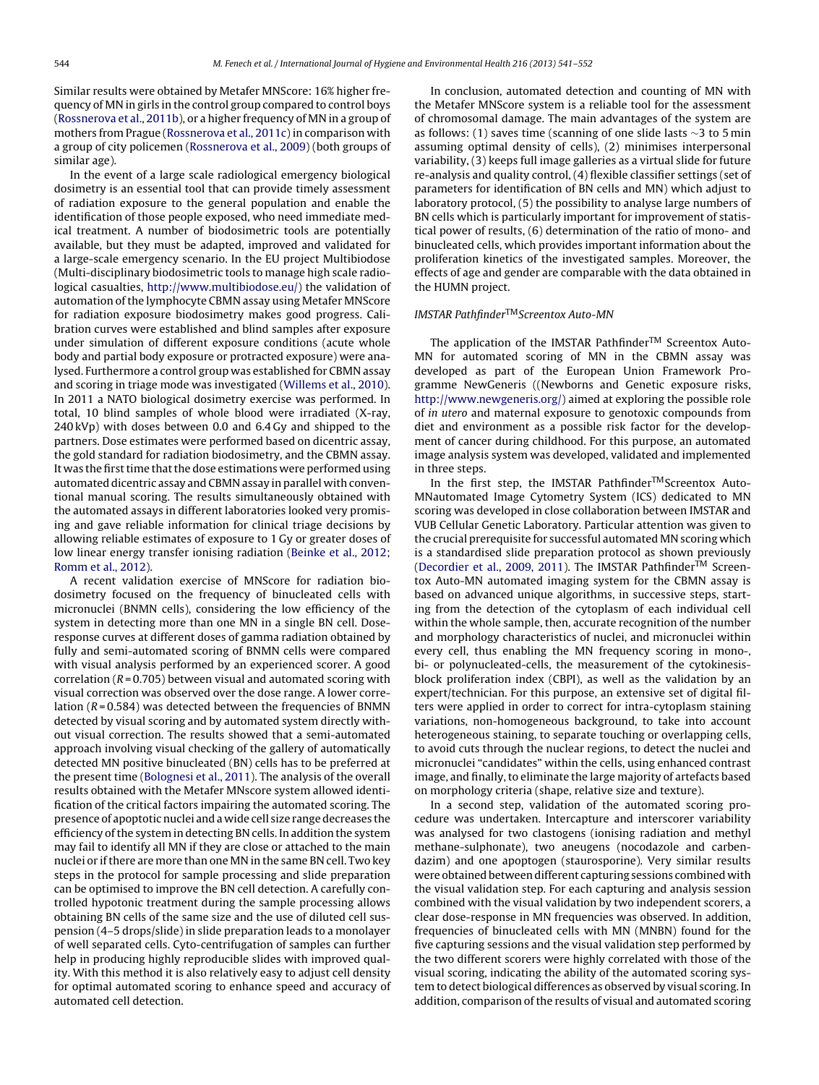Similar results were obtained by Metafer MNScore: 16% higher frequency of MN in girls in the control group compared to control boys ([Rossnerova](#page-11-0) et [al.,](#page-11-0) [2011b\),](#page-11-0) or a higher frequency of MN in a group of mothers from Prague [\(Rossnerova](#page-11-0) et [al.,](#page-11-0) [2011c\)](#page-11-0) in comparison with a group of city policemen [\(Rossnerova](#page-11-0) et [al.,](#page-11-0) [2009\)](#page-11-0) (both groups of similar age).

In the event of a large scale radiological emergency biological dosimetry is an essential tool that can provide timely assessment of radiation exposure to the general population and enable the identification of those people exposed, who need immediate medical treatment. A number of biodosimetric tools are potentially available, but they must be adapted, improved and validated for a large-scale emergency scenario. In the EU project Multibiodose (Multi-disciplinary biodosimetric tools to manage high scale radiological casualties, <http://www.multibiodose.eu/>) the validation of automation of the lymphocyte CBMN assay using Metafer MNScore for radiation exposure biodosimetry makes good progress. Calibration curves were established and blind samples after exposure under simulation of different exposure conditions (acute whole body and partial body exposure or protracted exposure) were analysed. Furthermore a control group was established for CBMN assay and scoring in triage mode was investigated ([Willems](#page-11-0) et [al.,](#page-11-0) [2010\).](#page-11-0) In 2011 a NATO biological dosimetry exercise was performed. In total, 10 blind samples of whole blood were irradiated (X-ray, 240 kVp) with doses between 0.0 and 6.4 Gy and shipped to the partners. Dose estimates were performed based on dicentric assay, the gold standard for radiation biodosimetry, and the CBMN assay. It was the first time that the dose estimations were performed using automated dicentric assay and CBMN assay in parallel with conventional manual scoring. The results simultaneously obtained with the automated assays in different laboratories looked very promising and gave reliable information for clinical triage decisions by allowing reliable estimates of exposure to 1 Gy or greater doses of low linear energy transfer ionising radiation [\(Beinke](#page-10-0) et [al.,](#page-10-0) [2012;](#page-10-0) [Romm](#page-10-0) et [al.,](#page-10-0) [2012\).](#page-10-0)

A recent validation exercise of MNScore for radiation biodosimetry focused on the frequency of binucleated cells with micronuclei (BNMN cells), considering the low efficiency of the system in detecting more than one MN in a single BN cell. Doseresponse curves at different doses of gamma radiation obtained by fully and semi-automated scoring of BNMN cells were compared with visual analysis performed by an experienced scorer. A good correlation ( $R = 0.705$ ) between visual and automated scoring with visual correction was observed over the dose range. A lower correlation ( $R = 0.584$ ) was detected between the frequencies of BNMN detected by visual scoring and by automated system directly without visual correction. The results showed that a semi-automated approach involving visual checking of the gallery of automatically detected MN positive binucleated (BN) cells has to be preferred at the present time [\(Bolognesi](#page-10-0) et [al.,](#page-10-0) [2011\).](#page-10-0) The analysis of the overall results obtained with the Metafer MNscore system allowed identification of the critical factors impairing the automated scoring. The presence of apoptotic nuclei and a wide cell size range decreases the efficiency of the system in detecting BN cells. In addition the system may fail to identify all MN if they are close or attached to the main nuclei or if there are more than one MN in the same BN cell. Two key steps in the protocol for sample processing and slide preparation can be optimised to improve the BN cell detection. A carefully controlled hypotonic treatment during the sample processing allows obtaining BN cells of the same size and the use of diluted cell suspension (4–5 drops/slide) in slide preparation leads to a monolayer of well separated cells. Cyto-centrifugation of samples can further help in producing highly reproducible slides with improved quality. With this method it is also relatively easy to adjust cell density for optimal automated scoring to enhance speed and accuracy of automated cell detection.

In conclusion, automated detection and counting of MN with the Metafer MNScore system is a reliable tool for the assessment of chromosomal damage. The main advantages of the system are as follows: (1) saves time (scanning of one slide lasts ∼3 to 5 min assuming optimal density of cells), (2) minimises interpersonal variability, (3) keeps full image galleries as a virtual slide for future re-analysis and quality control, (4) flexible classifier settings (set of parameters for identification of BN cells and MN) which adjust to laboratory protocol, (5) the possibility to analyse large numbers of BN cells which is particularly important for improvement of statistical power of results, (6) determination of the ratio of mono- and binucleated cells, which provides important information about the proliferation kinetics of the investigated samples. Moreover, the effects of age and gender are comparable with the data obtained in the HUMN project.

### IMSTAR Pathfinder<sup>TM</sup>Screentox Auto-MN

The application of the IMSTAR Pathfinder™ Screentox Auto-MN for automated scoring of MN in the CBMN assay was developed as part of the European Union Framework Programme NewGeneris ((Newborns and Genetic exposure risks, <http://www.newgeneris.org/>) aimed at exploring the possible role of in utero and maternal exposure to genotoxic compounds from diet and environment as a possible risk factor for the development of cancer during childhood. For this purpose, an automated image analysis system was developed, validated and implemented in three steps.

In the first step, the IMSTAR Pathfinder<sup>TM</sup>Screentox Auto-MNautomated Image Cytometry System (ICS) dedicated to MN scoring was developed in close collaboration between IMSTAR and VUB Cellular Genetic Laboratory. Particular attention was given to the crucial prerequisite for successful automated MN scoring which is a standardised slide preparation protocol as shown previously [\(Decordier](#page-10-0) et [al.,](#page-10-0) [2009,](#page-10-0) [2011\).](#page-10-0) The IMSTAR Pathfinder™ Screentox Auto-MN automated imaging system for the CBMN assay is based on advanced unique algorithms, in successive steps, starting from the detection of the cytoplasm of each individual cell within the whole sample, then, accurate recognition of the number and morphology characteristics of nuclei, and micronuclei within every cell, thus enabling the MN frequency scoring in mono-, bi- or polynucleated-cells, the measurement of the cytokinesisblock proliferation index (CBPI), as well as the validation by an expert/technician. For this purpose, an extensive set of digital filters were applied in order to correct for intra-cytoplasm staining variations, non-homogeneous background, to take into account heterogeneous staining, to separate touching or overlapping cells, to avoid cuts through the nuclear regions, to detect the nuclei and micronuclei "candidates" within the cells, using enhanced contrast image, and finally, to eliminate the large majority of artefacts based on morphology criteria (shape, relative size and texture).

In a second step, validation of the automated scoring procedure was undertaken. Intercapture and interscorer variability was analysed for two clastogens (ionising radiation and methyl methane-sulphonate), two aneugens (nocodazole and carbendazim) and one apoptogen (staurosporine). Very similar results were obtained between different capturing sessions combined with the visual validation step. For each capturing and analysis session combined with the visual validation by two independent scorers, a clear dose-response in MN frequencies was observed. In addition, frequencies of binucleated cells with MN (MNBN) found for the five capturing sessions and the visual validation step performed by the two different scorers were highly correlated with those of the visual scoring, indicating the ability of the automated scoring system to detect biological differences as observed by visual scoring. In addition, comparison of the results of visual and automated scoring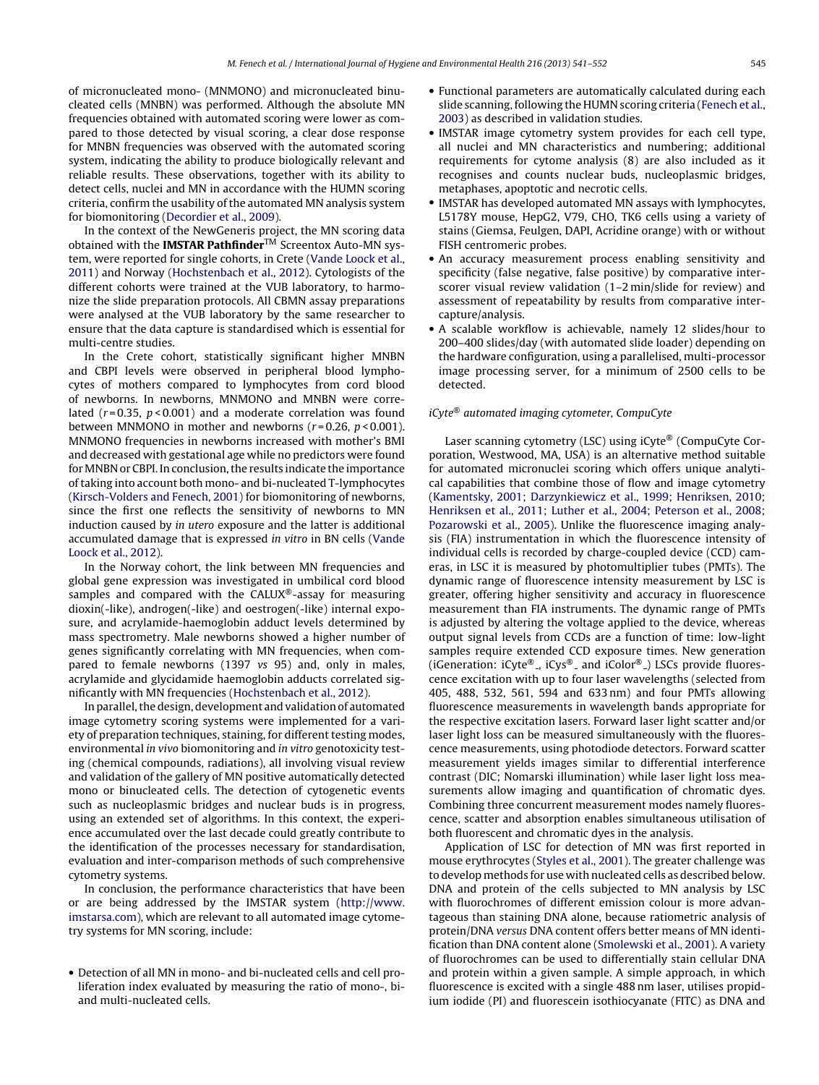of micronucleated mono- (MNMONO) and micronucleated binucleated cells (MNBN) was performed. Although the absolute MN frequencies obtained with automated scoring were lower as compared to those detected by visual scoring, a clear dose response for MNBN frequencies was observed with the automated scoring system, indicating the ability to produce biologically relevant and reliable results. These observations, together with its ability to detect cells, nuclei and MN in accordance with the HUMN scoring criteria, confirm the usability of the automated MN analysis system for biomonitoring ([Decordier](#page-10-0) et [al.,](#page-10-0) [2009\).](#page-10-0)

In the context of the NewGeneris project, the MN scoring data obtained with the **IMSTAR Pathfinder**TM Screentox Auto-MN system, were reported for single cohorts, in Crete ([Vande](#page-11-0) [Loock](#page-11-0) et [al.,](#page-11-0) [2011\)](#page-11-0) and Norway [\(Hochstenbach](#page-11-0) et [al.,](#page-11-0) [2012\).](#page-11-0) Cytologists of the different cohorts were trained at the VUB laboratory, to harmonize the slide preparation protocols. All CBMN assay preparations were analysed at the VUB laboratory by the same researcher to ensure that the data capture is standardised which is essential for multi-centre studies.

In the Crete cohort, statistically significant higher MNBN and CBPI levels were observed in peripheral blood lymphocytes of mothers compared to lymphocytes from cord blood of newborns. In newborns, MNMONO and MNBN were correlated ( $r = 0.35$ ,  $p < 0.001$ ) and a moderate correlation was found between MNMONO in mother and newborns ( $r = 0.26$ ,  $p < 0.001$ ). MNMONO frequencies in newborns increased with mother's BMI and decreased with gestational age while no predictors were found for MNBN or CBPI. In conclusion, the results indicate the importance oftaking into account both mono- and bi-nucleated T-lymphocytes ([Kirsch-Volders](#page-11-0) [and](#page-11-0) [Fenech,](#page-11-0) [2001\)](#page-11-0) for biomonitoring of newborns, since the first one reflects the sensitivity of newborns to MN induction caused by in utero exposure and the latter is additional accumulated damage that is expressed in vitro in BN cells [\(Vande](#page-11-0) [Loock](#page-11-0) et [al.,](#page-11-0) [2012\).](#page-11-0)

In the Norway cohort, the link between MN frequencies and global gene expression was investigated in umbilical cord blood samples and compared with the CALUX<sup>®</sup>-assay for measuring dioxin(-like), androgen(-like) and oestrogen(-like) internal exposure, and acrylamide-haemoglobin adduct levels determined by mass spectrometry. Male newborns showed a higher number of genes significantly correlating with MN frequencies, when compared to female newborns (1397 vs 95) and, only in males, acrylamide and glycidamide haemoglobin adducts correlated significantly with MN frequencies ([Hochstenbach](#page-11-0) et [al.,](#page-11-0) [2012\).](#page-11-0)

In parallel, the design, development and validation of automated image cytometry scoring systems were implemented for a variety of preparation techniques, staining, for different testing modes, environmental in vivo biomonitoring and in vitro genotoxicity testing (chemical compounds, radiations), all involving visual review and validation of the gallery of MN positive automatically detected mono or binucleated cells. The detection of cytogenetic events such as nucleoplasmic bridges and nuclear buds is in progress, using an extended set of algorithms. In this context, the experience accumulated over the last decade could greatly contribute to the identification of the processes necessary for standardisation, evaluation and inter-comparison methods of such comprehensive cytometry systems.

In conclusion, the performance characteristics that have been or are being addressed by the IMSTAR system [\(http://www.](http://www.imstarsa.com/) [imstarsa.com\)](http://www.imstarsa.com/), which are relevant to all automated image cytometry systems for MN scoring, include:

• Detection of all MN in mono- and bi-nucleated cells and cell proliferation index evaluated by measuring the ratio of mono-, biand multi-nucleated cells.

- Functional parameters are automatically calculated during each slide scanning, following the HUMN scoring criteria ([Fenech](#page-10-0) et [al.,](#page-10-0) [2003\)](#page-10-0) as described in validation studies.
- IMSTAR image cytometry system provides for each cell type, all nuclei and MN characteristics and numbering; additional requirements for cytome analysis (8) are also included as it recognises and counts nuclear buds, nucleoplasmic bridges, metaphases, apoptotic and necrotic cells.
- IMSTAR has developed automated MN assays with lymphocytes, L5178Y mouse, HepG2, V79, CHO, TK6 cells using a variety of stains (Giemsa, Feulgen, DAPI, Acridine orange) with or without FISH centromeric probes.
- An accuracy measurement process enabling sensitivity and specificity (false negative, false positive) by comparative interscorer visual review validation (1–2 min/slide for review) and assessment of repeatability by results from comparative intercapture/analysis.
- A scalable workflow is achievable, namely 12 slides/hour to 200–400 slides/day (with automated slide loader) depending on the hardware configuration, using a parallelised, multi-processor image processing server, for a minimum of 2500 cells to be detected.

# iCyte® automated imaging cytometer, CompuCyte

Laser scanning cytometry (LSC) using iCyte® (CompuCyte Corporation, Westwood, MA, USA) is an alternative method suitable for automated micronuclei scoring which offers unique analytical capabilities that combine those of flow and image cytometry [\(Kamentsky,](#page-11-0) [2001;](#page-11-0) [Darzynkiewicz](#page-11-0) et [al.,](#page-11-0) [1999;](#page-11-0) [Henriksen,](#page-11-0) [2010;](#page-11-0) [Henriksen](#page-11-0) et [al.,](#page-11-0) [2011;](#page-11-0) [Luther](#page-11-0) et [al.,](#page-11-0) [2004;](#page-11-0) [Peterson](#page-11-0) et [al.,](#page-11-0) [2008;](#page-11-0) [Pozarowski](#page-11-0) et [al.,](#page-11-0) [2005\).](#page-11-0) Unlike the fluorescence imaging analysis (FIA) instrumentation in which the fluorescence intensity of individual cells is recorded by charge-coupled device (CCD) cameras, in LSC it is measured by photomultiplier tubes (PMTs). The dynamic range of fluorescence intensity measurement by LSC is greater, offering higher sensitivity and accuracy in fluorescence measurement than FIA instruments. The dynamic range of PMTs is adjusted by altering the voltage applied to the device, whereas output signal levels from CCDs are a function of time: low-light samples require extended CCD exposure times. New generation (iGeneration: iCyte®<sub>-</sub>, iCys®<sub>-</sub> and iColor®<sub>-</sub>) LSCs provide fluorescence excitation with up to four laser wavelengths (selected from 405, 488, 532, 561, 594 and 633 nm) and four PMTs allowing fluorescence measurements in wavelength bands appropriate for the respective excitation lasers. Forward laser light scatter and/or laser light loss can be measured simultaneously with the fluorescence measurements, using photodiode detectors. Forward scatter measurement yields images similar to differential interference contrast (DIC; Nomarski illumination) while laser light loss measurements allow imaging and quantification of chromatic dyes. Combining three concurrent measurement modes namely fluorescence, scatter and absorption enables simultaneous utilisation of both fluorescent and chromatic dyes in the analysis.

Application of LSC for detection of MN was first reported in mouse erythrocytes ([Styles](#page-11-0) et [al.,](#page-11-0) [2001\).](#page-11-0) The greater challenge was to develop methods for use with nucleated cells as described below. DNA and protein of the cells subjected to MN analysis by LSC with fluorochromes of different emission colour is more advantageous than staining DNA alone, because ratiometric analysis of protein/DNA versus DNA content offers better means of MN identification than DNA content alone [\(Smolewski](#page-11-0) et [al.,](#page-11-0) [2001\).](#page-11-0) A variety of fluorochromes can be used to differentially stain cellular DNA and protein within a given sample. A simple approach, in which fluorescence is excited with a single 488 nm laser, utilises propidium iodide (PI) and fluorescein isothiocyanate (FITC) as DNA and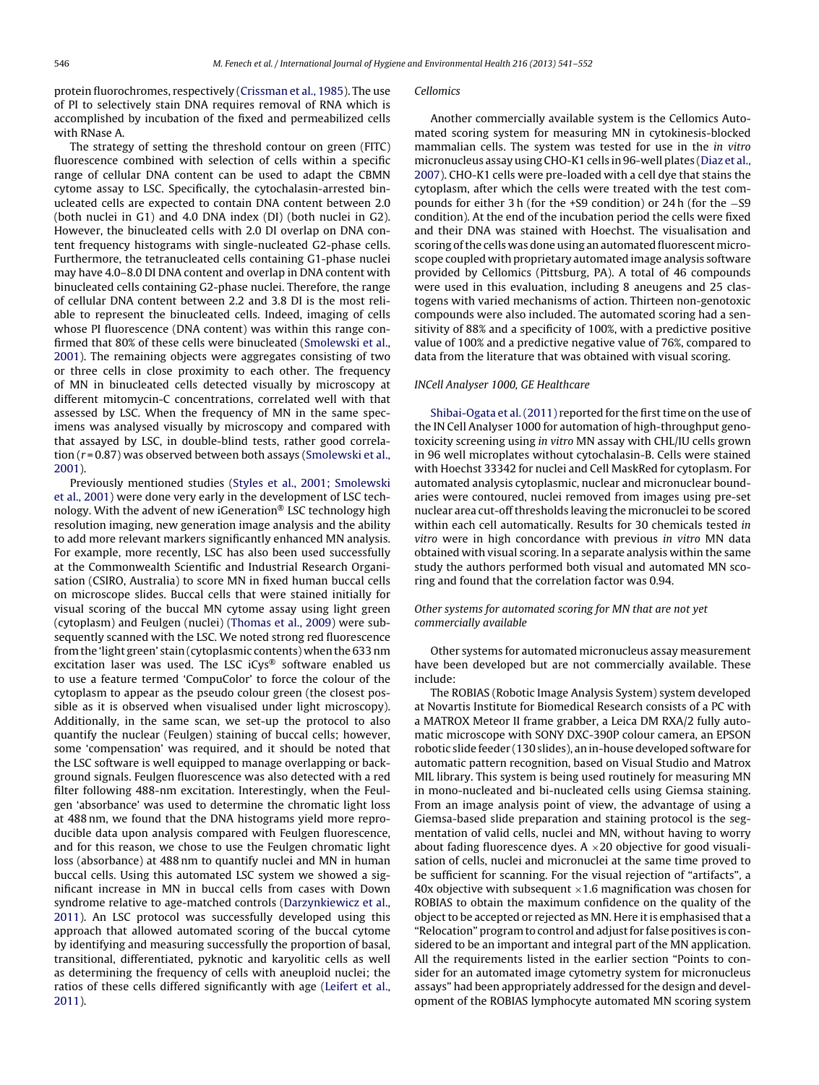protein fluorochromes, respectively [\(Crissman](#page-10-0) et [al.,](#page-10-0) [1985\).](#page-10-0) The use of PI to selectively stain DNA requires removal of RNA which is accomplished by incubation of the fixed and permeabilized cells with RNase A.

The strategy of setting the threshold contour on green (FITC) fluorescence combined with selection of cells within a specific range of cellular DNA content can be used to adapt the CBMN cytome assay to LSC. Specifically, the cytochalasin-arrested binucleated cells are expected to contain DNA content between 2.0 (both nuclei in G1) and 4.0 DNA index (DI) (both nuclei in G2). However, the binucleated cells with 2.0 DI overlap on DNA content frequency histograms with single-nucleated G2-phase cells. Furthermore, the tetranucleated cells containing G1-phase nuclei may have 4.0–8.0 DI DNA content and overlap in DNA content with binucleated cells containing G2-phase nuclei. Therefore, the range of cellular DNA content between 2.2 and 3.8 DI is the most reliable to represent the binucleated cells. Indeed, imaging of cells whose PI fluorescence (DNA content) was within this range confirmed that 80% of these cells were binucleated [\(Smolewski](#page-11-0) et [al.,](#page-11-0) [2001\).](#page-11-0) The remaining objects were aggregates consisting of two or three cells in close proximity to each other. The frequency of MN in binucleated cells detected visually by microscopy at different mitomycin-C concentrations, correlated well with that assessed by LSC. When the frequency of MN in the same specimens was analysed visually by microscopy and compared with that assayed by LSC, in double-blind tests, rather good correlation ( $r = 0.87$ ) was observed between both assays [\(Smolewski](#page-11-0) et [al.,](#page-11-0) [2001\).](#page-11-0)

Previously mentioned studies ([Styles](#page-11-0) et [al.,](#page-11-0) [2001;](#page-11-0) [Smolewski](#page-11-0) et [al.,](#page-11-0) [2001\)](#page-11-0) were done very early in the development of LSC technology. With the advent of new iGeneration® LSC technology high resolution imaging, new generation image analysis and the ability to add more relevant markers significantly enhanced MN analysis. For example, more recently, LSC has also been used successfully at the Commonwealth Scientific and Industrial Research Organisation (CSIRO, Australia) to score MN in fixed human buccal cells on microscope slides. Buccal cells that were stained initially for visual scoring of the buccal MN cytome assay using light green (cytoplasm) and Feulgen (nuclei) [\(Thomas](#page-11-0) et [al.,](#page-11-0) [2009\)](#page-11-0) were subsequently scanned with the LSC. We noted strong red fluorescence fromthe 'light green' stain (cytoplasmic contents) when the 633 nm excitation laser was used. The LSC iCys® software enabled us to use a feature termed 'CompuColor' to force the colour of the cytoplasm to appear as the pseudo colour green (the closest possible as it is observed when visualised under light microscopy). Additionally, in the same scan, we set-up the protocol to also quantify the nuclear (Feulgen) staining of buccal cells; however, some 'compensation' was required, and it should be noted that the LSC software is well equipped to manage overlapping or background signals. Feulgen fluorescence was also detected with a red filter following 488-nm excitation. Interestingly, when the Feulgen 'absorbance' was used to determine the chromatic light loss at 488 nm, we found that the DNA histograms yield more reproducible data upon analysis compared with Feulgen fluorescence, and for this reason, we chose to use the Feulgen chromatic light loss (absorbance) at 488 nm to quantify nuclei and MN in human buccal cells. Using this automated LSC system we showed a significant increase in MN in buccal cells from cases with Down syndrome relative to age-matched controls ([Darzynkiewicz](#page-10-0) et [al.,](#page-10-0) [2011\).](#page-10-0) An LSC protocol was successfully developed using this approach that allowed automated scoring of the buccal cytome by identifying and measuring successfully the proportion of basal, transitional, differentiated, pyknotic and karyolitic cells as well as determining the frequency of cells with aneuploid nuclei; the ratios of these cells differed significantly with age [\(Leifert](#page-11-0) et [al.,](#page-11-0) [2011\).](#page-11-0)

#### Cellomics

Another commercially available system is the Cellomics Automated scoring system for measuring MN in cytokinesis-blocked mammalian cells. The system was tested for use in the in vitro micronucleus assay using CHO-K1 cells in 96-well plates [\(Diaz](#page-10-0) et [al.,](#page-10-0) [2007\).](#page-10-0) CHO-K1 cells were pre-loaded with a cell dye that stains the cytoplasm, after which the cells were treated with the test compounds for either 3 h (for the +S9 condition) or 24 h (for the −S9 condition). At the end of the incubation period the cells were fixed and their DNA was stained with Hoechst. The visualisation and scoring of the cells was done using an automated fluorescent microscope coupled with proprietary automated image analysis software provided by Cellomics (Pittsburg, PA). A total of 46 compounds were used in this evaluation, including 8 aneugens and 25 clastogens with varied mechanisms of action. Thirteen non-genotoxic compounds were also included. The automated scoring had a sensitivity of 88% and a specificity of 100%, with a predictive positive value of 100% and a predictive negative value of 76%, compared to data from the literature that was obtained with visual scoring.

#### INCell Analyser 1000, GE Healthcare

[Shibai-Ogata](#page-11-0) et al. (2011) reported for the first time on the use of the IN Cell Analyser 1000 for automation of high-throughput genotoxicity screening using in vitro MN assay with CHL/IU cells grown in 96 well microplates without cytochalasin-B. Cells were stained with Hoechst 33342 for nuclei and Cell MaskRed for cytoplasm. For automated analysis cytoplasmic, nuclear and micronuclear boundaries were contoured, nuclei removed from images using pre-set nuclear area cut-offthresholds leaving the micronucleito be scored within each cell automatically. Results for 30 chemicals tested in vitro were in high concordance with previous in vitro MN data obtained with visual scoring. In a separate analysis within the same study the authors performed both visual and automated MN scoring and found that the correlation factor was 0.94.

## Other systems for automated scoring for MN that are not yet commercially available

Other systems for automated micronucleus assay measurement have been developed but are not commercially available. These include:

The ROBIAS (Robotic Image Analysis System) system developed at Novartis Institute for Biomedical Research consists of a PC with a MATROX Meteor II frame grabber, a Leica DM RXA/2 fully automatic microscope with SONY DXC-390P colour camera, an EPSON robotic slide feeder (130 slides), an in-house developed software for automatic pattern recognition, based on Visual Studio and Matrox MIL library. This system is being used routinely for measuring MN in mono-nucleated and bi-nucleated cells using Giemsa staining. From an image analysis point of view, the advantage of using a Giemsa-based slide preparation and staining protocol is the segmentation of valid cells, nuclei and MN, without having to worry about fading fluorescence dyes. A  $\times$  20 objective for good visualisation of cells, nuclei and micronuclei at the same time proved to be sufficient for scanning. For the visual rejection of "artifacts", a 40x objective with subsequent  $\times$ 1.6 magnification was chosen for ROBIAS to obtain the maximum confidence on the quality of the object to be accepted or rejected as MN. Here it is emphasised that a "Relocation" program to control and adjust for false positives is considered to be an important and integral part of the MN application. All the requirements listed in the earlier section "Points to consider for an automated image cytometry system for micronucleus assays" had been appropriately addressed for the design and development of the ROBIAS lymphocyte automated MN scoring system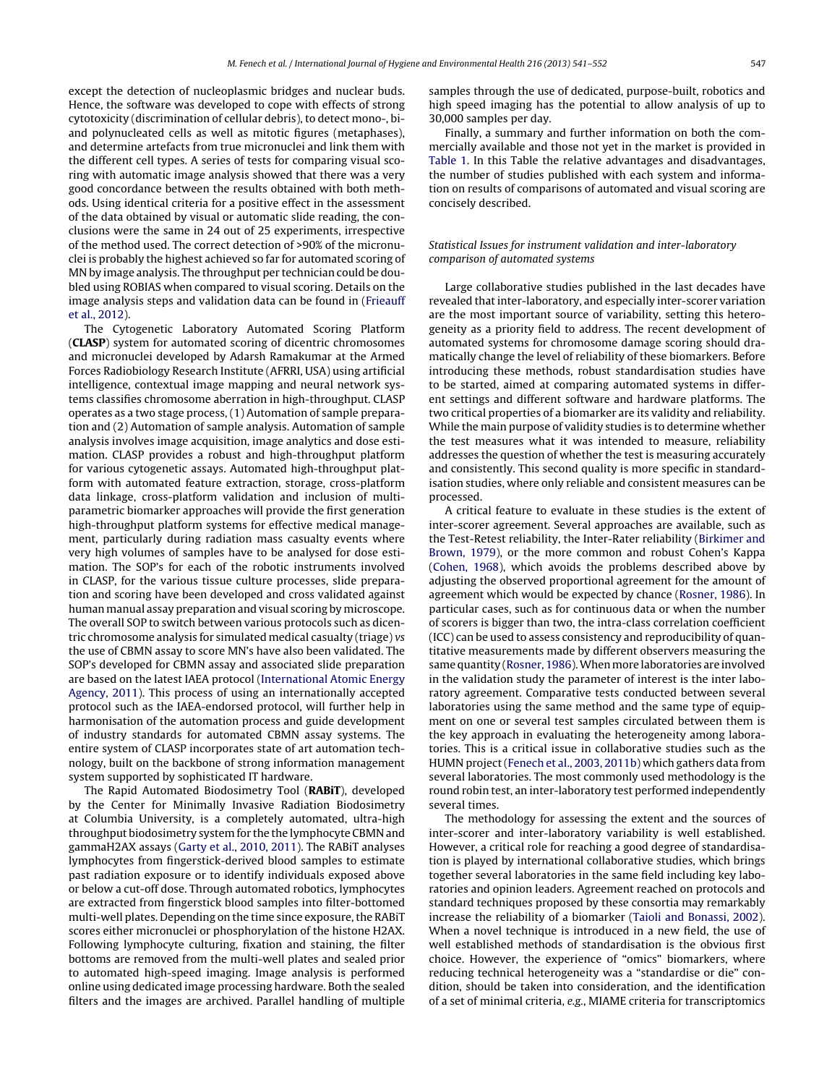except the detection of nucleoplasmic bridges and nuclear buds. Hence, the software was developed to cope with effects of strong cytotoxicity (discrimination of cellular debris), to detect mono-, biand polynucleated cells as well as mitotic figures (metaphases), and determine artefacts from true micronuclei and link them with the different cell types. A series of tests for comparing visual scoring with automatic image analysis showed that there was a very good concordance between the results obtained with both methods. Using identical criteria for a positive effect in the assessment of the data obtained by visual or automatic slide reading, the conclusions were the same in 24 out of 25 experiments, irrespective of the method used. The correct detection of >90% of the micronuclei is probably the highest achieved so far for automated scoring of MN by image analysis. The throughput per technician could be doubled using ROBIAS when compared to visual scoring. Details on the image analysis steps and validation data can be found in [\(Frieauff](#page-10-0) et [al.,](#page-10-0) [2012\).](#page-10-0)

The Cytogenetic Laboratory Automated Scoring Platform (**CLASP**) system for automated scoring of dicentric chromosomes and micronuclei developed by Adarsh Ramakumar at the Armed Forces Radiobiology Research Institute (AFRRI, USA) using artificial intelligence, contextual image mapping and neural network systems classifies chromosome aberration in high-throughput. CLASP operates as a two stage process, (1) Automation of sample preparation and (2) Automation of sample analysis. Automation of sample analysis involves image acquisition, image analytics and dose estimation. CLASP provides a robust and high-throughput platform for various cytogenetic assays. Automated high-throughput platform with automated feature extraction, storage, cross-platform data linkage, cross-platform validation and inclusion of multiparametric biomarker approaches will provide the first generation high-throughput platform systems for effective medical management, particularly during radiation mass casualty events where very high volumes of samples have to be analysed for dose estimation. The SOP's for each of the robotic instruments involved in CLASP, for the various tissue culture processes, slide preparation and scoring have been developed and cross validated against human manual assay preparation and visual scoring by microscope. The overall SOP to switch between various protocols such as dicentric chromosome analysis for simulated medical casualty (triage) vs the use of CBMN assay to score MN's have also been validated. The SOP's developed for CBMN assay and associated slide preparation are based on the latest IAEA protocol ([International](#page-11-0) [Atomic](#page-11-0) [Energy](#page-11-0) [Agency,](#page-11-0) [2011\).](#page-11-0) This process of using an internationally accepted protocol such as the IAEA-endorsed protocol, will further help in harmonisation of the automation process and guide development of industry standards for automated CBMN assay systems. The entire system of CLASP incorporates state of art automation technology, built on the backbone of strong information management system supported by sophisticated IT hardware.

The Rapid Automated Biodosimetry Tool (**RABiT**), developed by the Center for Minimally Invasive Radiation Biodosimetry at Columbia University, is a completely automated, ultra-high throughput biodosimetry system for the the lymphocyte CBMN and gammaH2AX assays ([Garty](#page-10-0) et [al.,](#page-10-0) [2010,](#page-10-0) [2011\).](#page-10-0) The RABiT analyses lymphocytes from fingerstick-derived blood samples to estimate past radiation exposure or to identify individuals exposed above or below a cut-off dose. Through automated robotics, lymphocytes are extracted from fingerstick blood samples into filter-bottomed multi-well plates. Depending on the time since exposure, the RABIT scores either micronuclei or phosphorylation of the histone H2AX. Following lymphocyte culturing, fixation and staining, the filter bottoms are removed from the multi-well plates and sealed prior to automated high-speed imaging. Image analysis is performed online using dedicated image processing hardware. Both the sealed filters and the images are archived. Parallel handling of multiple samples through the use of dedicated, purpose-built, robotics and high speed imaging has the potential to allow analysis of up to 30,000 samples per day.

Finally, a summary and further information on both the commercially available and those not yet in the market is provided in [Table](#page-7-0) 1. In this Table the relative advantages and disadvantages, the number of studies published with each system and information on results of comparisons of automated and visual scoring are concisely described.

## Statistical Issues for instrument validation and inter-laboratory comparison of automated systems

Large collaborative studies published in the last decades have revealed that inter-laboratory, and especially inter-scorer variation are the most important source of variability, setting this heterogeneity as a priority field to address. The recent development of automated systems for chromosome damage scoring should dramatically change the level of reliability of these biomarkers. Before introducing these methods, robust standardisation studies have to be started, aimed at comparing automated systems in different settings and different software and hardware platforms. The two critical properties of a biomarker are its validity and reliability. While the main purpose of validity studies is to determine whether the test measures what it was intended to measure, reliability addresses the question of whether the test is measuring accurately and consistently. This second quality is more specific in standardisation studies, where only reliable and consistent measures can be processed.

A critical feature to evaluate in these studies is the extent of inter-scorer agreement. Several approaches are available, such as the Test-Retest reliability, the Inter-Rater reliability ([Birkimer](#page-10-0) [and](#page-10-0) [Brown,](#page-10-0) [1979\),](#page-10-0) or the more common and robust Cohen's Kappa [\(Cohen,](#page-10-0) [1968\),](#page-10-0) which avoids the problems described above by adjusting the observed proportional agreement for the amount of agreement which would be expected by chance [\(Rosner,](#page-11-0) [1986\).](#page-11-0) In particular cases, such as for continuous data or when the number of scorers is bigger than two, the intra-class correlation coefficient (ICC) can be used to assess consistency and reproducibility of quantitative measurements made by different observers measuring the same quantity [\(Rosner,](#page-11-0) [1986\).](#page-11-0) When more laboratories are involved in the validation study the parameter of interest is the inter laboratory agreement. Comparative tests conducted between several laboratories using the same method and the same type of equipment on one or several test samples circulated between them is the key approach in evaluating the heterogeneity among laboratories. This is a critical issue in collaborative studies such as the HUMN project[\(Fenech](#page-10-0) et [al.,](#page-10-0) [2003,](#page-10-0) [2011b\)](#page-10-0) which gathers data from several laboratories. The most commonly used methodology is the round robin test, an inter-laboratory test performed independently several times.

The methodology for assessing the extent and the sources of inter-scorer and inter-laboratory variability is well established. However, a critical role for reaching a good degree of standardisation is played by international collaborative studies, which brings together several laboratories in the same field including key laboratories and opinion leaders. Agreement reached on protocols and standard techniques proposed by these consortia may remarkably increase the reliability of a biomarker ([Taioli](#page-11-0) [and](#page-11-0) [Bonassi,](#page-11-0) [2002\).](#page-11-0) When a novel technique is introduced in a new field, the use of well established methods of standardisation is the obvious first choice. However, the experience of "omics" biomarkers, where reducing technical heterogeneity was a "standardise or die" condition, should be taken into consideration, and the identification of a set of minimal criteria, e.g., MIAME criteria for transcriptomics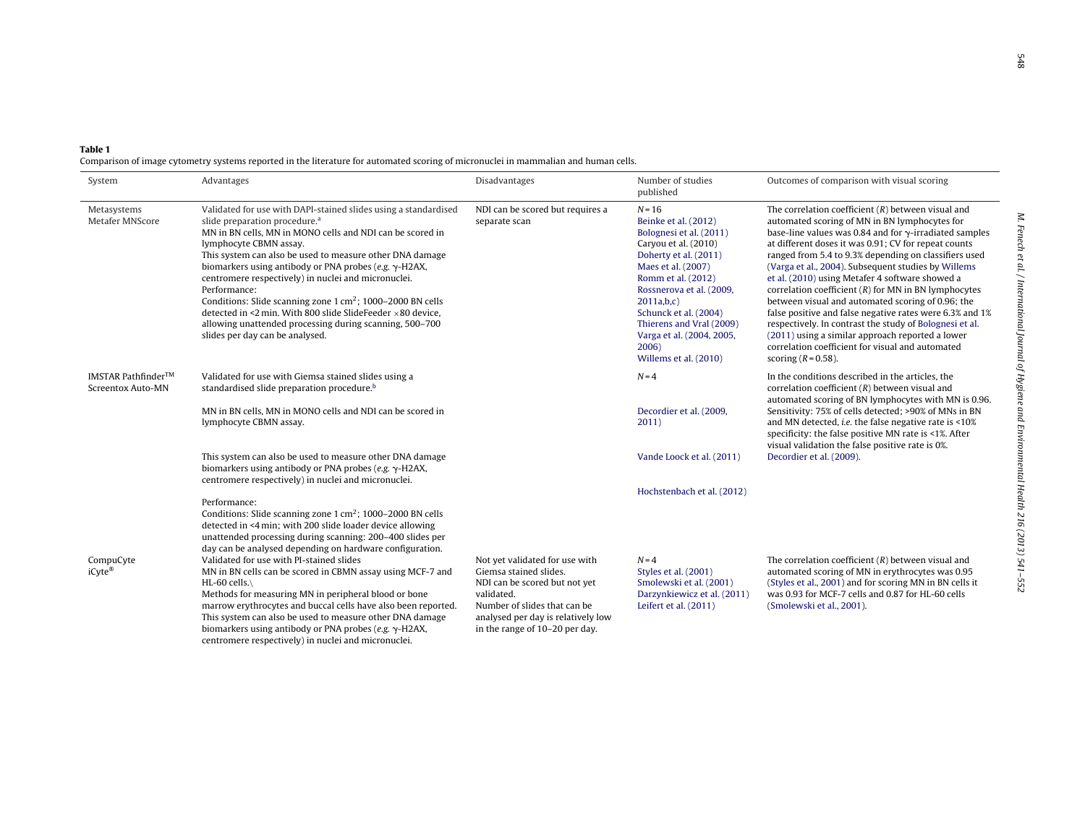<span id="page-7-0"></span>**Table 1**

Comparison of image cytometry systems reported in the literature for automated scoring of micronuclei in mammalian and human cells.

| System                                  | Advantages                                                                                                                                                                                                                                                                                                                                                                                                                                                                                                                                                                                                                                    | Disadvantages                                                                                                                                                                                                   | Number of studies<br>published                                                                                                                                                                                                                                                                                         | Outcomes of comparison with visual scoring                                                                                                                                                                                                                                                                                                                                                                                                                                                                                                                                                                                                                                                                                                                                 |
|-----------------------------------------|-----------------------------------------------------------------------------------------------------------------------------------------------------------------------------------------------------------------------------------------------------------------------------------------------------------------------------------------------------------------------------------------------------------------------------------------------------------------------------------------------------------------------------------------------------------------------------------------------------------------------------------------------|-----------------------------------------------------------------------------------------------------------------------------------------------------------------------------------------------------------------|------------------------------------------------------------------------------------------------------------------------------------------------------------------------------------------------------------------------------------------------------------------------------------------------------------------------|----------------------------------------------------------------------------------------------------------------------------------------------------------------------------------------------------------------------------------------------------------------------------------------------------------------------------------------------------------------------------------------------------------------------------------------------------------------------------------------------------------------------------------------------------------------------------------------------------------------------------------------------------------------------------------------------------------------------------------------------------------------------------|
| Metasystems<br>Metafer MNScore          | Validated for use with DAPI-stained slides using a standardised<br>slide preparation procedure. <sup>a</sup><br>MN in BN cells, MN in MONO cells and NDI can be scored in<br>lymphocyte CBMN assay.<br>This system can also be used to measure other DNA damage<br>biomarkers using antibody or PNA probes (e.g. $\gamma$ -H2AX,<br>centromere respectively) in nuclei and micronuclei.<br>Performance:<br>Conditions: Slide scanning zone 1 cm <sup>2</sup> ; 1000-2000 BN cells<br>detected in <2 min. With 800 slide SlideFeeder ×80 device,<br>allowing unattended processing during scanning, 500-700<br>slides per day can be analysed. | NDI can be scored but requires a<br>separate scan                                                                                                                                                               | $N = 16$<br>Beinke et al. (2012)<br>Bolognesi et al. (2011)<br>Caryou et al. (2010)<br>Doherty et al. (2011)<br>Maes et al. (2007)<br>Romm et al. (2012)<br>Rossnerova et al. (2009,<br>2011a,b,c)<br>Schunck et al. (2004)<br>Thierens and Vral (2009)<br>Varga et al. (2004, 2005,<br>2006)<br>Willems et al. (2010) | The correlation coefficient $(R)$ between visual and<br>automated scoring of MN in BN lymphocytes for<br>base-line values was 0.84 and for $\gamma$ -irradiated samples<br>at different doses it was 0.91; CV for repeat counts<br>ranged from 5.4 to 9.3% depending on classifiers used<br>(Varga et al., 2004). Subsequent studies by Willems<br>et al. (2010) using Metafer 4 software showed a<br>correlation coefficient $(R)$ for MN in BN lymphocytes<br>between visual and automated scoring of 0.96; the<br>false positive and false negative rates were 6.3% and 1%<br>respectively. In contrast the study of Bolognesi et al.<br>(2011) using a similar approach reported a lower<br>correlation coefficient for visual and automated<br>scoring $(R = 0.58)$ . |
| IMSTAR Pathfinder™<br>Screentox Auto-MN | Validated for use with Giemsa stained slides using a<br>standardised slide preparation procedure. <sup>b</sup><br>MN in BN cells. MN in MONO cells and NDI can be scored in<br>lymphocyte CBMN assay.                                                                                                                                                                                                                                                                                                                                                                                                                                         |                                                                                                                                                                                                                 | $N=4$<br>Decordier et al. (2009,<br>2011)                                                                                                                                                                                                                                                                              | In the conditions described in the articles, the<br>correlation coefficient $(R)$ between visual and<br>automated scoring of BN lymphocytes with MN is 0.96.<br>Sensitivity: 75% of cells detected; >90% of MNs in BN<br>and MN detected, <i>i.e.</i> the false negative rate is <10%<br>specificity: the false positive MN rate is <1%. After<br>visual validation the false positive rate is 0%.<br>Decordier et al. (2009).                                                                                                                                                                                                                                                                                                                                             |
|                                         | This system can also be used to measure other DNA damage<br>biomarkers using antibody or PNA probes (e.g. $\gamma$ -H2AX,<br>centromere respectively) in nuclei and micronuclei.                                                                                                                                                                                                                                                                                                                                                                                                                                                              |                                                                                                                                                                                                                 | Vande Loock et al. (2011)                                                                                                                                                                                                                                                                                              |                                                                                                                                                                                                                                                                                                                                                                                                                                                                                                                                                                                                                                                                                                                                                                            |
|                                         | Performance:<br>Conditions: Slide scanning zone 1 cm <sup>2</sup> ; 1000-2000 BN cells<br>detected in <4 min; with 200 slide loader device allowing<br>unattended processing during scanning: 200-400 slides per<br>day can be analysed depending on hardware configuration.                                                                                                                                                                                                                                                                                                                                                                  |                                                                                                                                                                                                                 | Hochstenbach et al. (2012)                                                                                                                                                                                                                                                                                             |                                                                                                                                                                                                                                                                                                                                                                                                                                                                                                                                                                                                                                                                                                                                                                            |
| CompuCyte<br>$iC$ vte®                  | Validated for use with PI-stained slides<br>MN in BN cells can be scored in CBMN assay using MCF-7 and<br>HL-60 cells. $\setminus$<br>Methods for measuring MN in peripheral blood or bone<br>marrow erythrocytes and buccal cells have also been reported.<br>This system can also be used to measure other DNA damage<br>biomarkers using antibody or PNA probes (e.g. $\gamma$ -H2AX,<br>centromere respectively) in nuclei and micronuclei.                                                                                                                                                                                               | Not yet validated for use with<br>Giemsa stained slides.<br>NDI can be scored but not yet<br>validated.<br>Number of slides that can be<br>analysed per day is relatively low<br>in the range of 10-20 per day. | $N=4$<br>Styles et al. (2001)<br>Smolewski et al. (2001)<br>Darzynkiewicz et al. (2011)<br>Leifert et al. (2011)                                                                                                                                                                                                       | The correlation coefficient $(R)$ between visual and<br>automated scoring of MN in erythrocytes was 0.95<br>(Styles et al., 2001) and for scoring MN in BN cells it<br>was 0.93 for MCF-7 cells and 0.87 for HL-60 cells<br>(Smolewski et al., 2001).                                                                                                                                                                                                                                                                                                                                                                                                                                                                                                                      |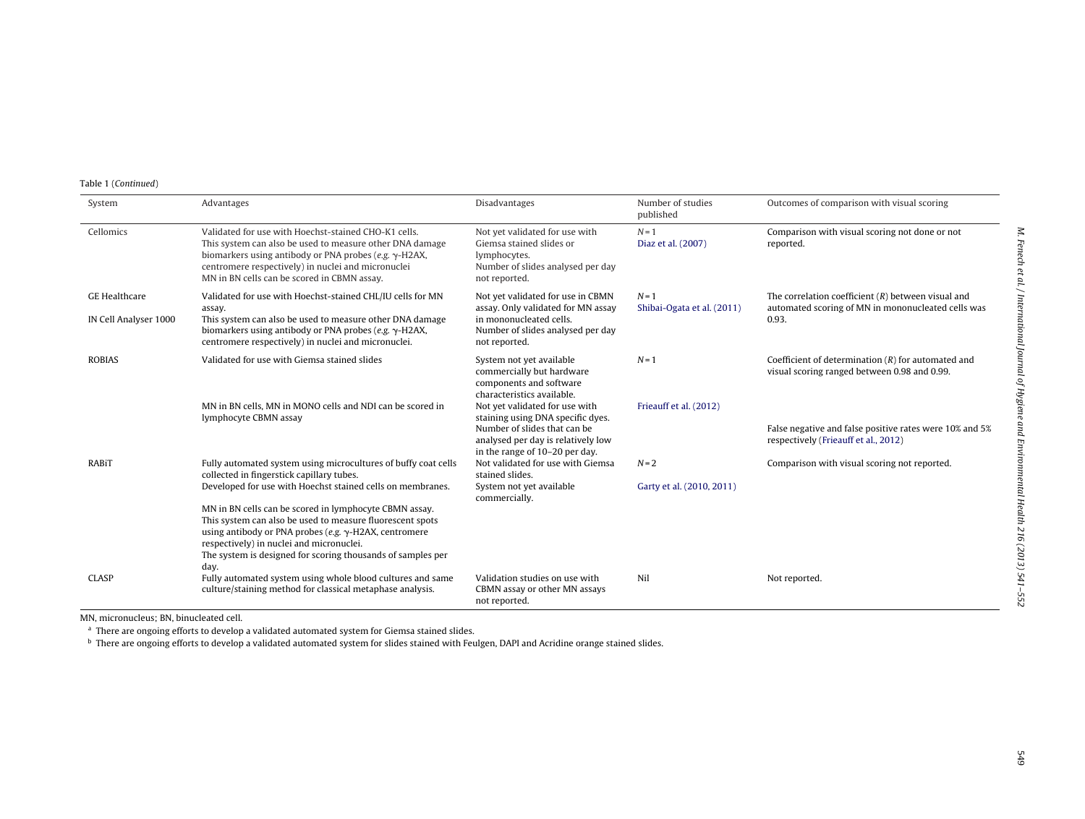#### <span id="page-8-0"></span>Table 1 (Continued)

| System                                        | Advantages                                                                                                                                                                                                                                                                                                                                                                                            | Disadvantages                                                                                                                                                                                                         | Number of studies<br>published      | Outcomes of comparison with visual scoring                                                                                                                      |
|-----------------------------------------------|-------------------------------------------------------------------------------------------------------------------------------------------------------------------------------------------------------------------------------------------------------------------------------------------------------------------------------------------------------------------------------------------------------|-----------------------------------------------------------------------------------------------------------------------------------------------------------------------------------------------------------------------|-------------------------------------|-----------------------------------------------------------------------------------------------------------------------------------------------------------------|
| Cellomics                                     | Validated for use with Hoechst-stained CHO-K1 cells.<br>This system can also be used to measure other DNA damage<br>biomarkers using antibody or PNA probes (e.g. γ-H2AX,<br>centromere respectively) in nuclei and micronuclei<br>MN in BN cells can be scored in CBMN assay.                                                                                                                        | Not yet validated for use with<br>Giemsa stained slides or<br>lymphocytes.<br>Number of slides analysed per day<br>not reported.                                                                                      | $N = 1$<br>Diaz et al. (2007)       | Comparison with visual scoring not done or not<br>reported.                                                                                                     |
| <b>GE</b> Healthcare<br>IN Cell Analyser 1000 | Validated for use with Hoechst-stained CHL/IU cells for MN<br>assay.<br>This system can also be used to measure other DNA damage<br>biomarkers using antibody or PNA probes (e.g. $\gamma$ -H2AX,<br>centromere respectively) in nuclei and micronuclei.                                                                                                                                              | Not yet validated for use in CBMN<br>assay. Only validated for MN assay<br>in mononucleated cells.<br>Number of slides analysed per day<br>not reported.                                                              | $N=1$<br>Shibai-Ogata et al. (2011) | The correlation coefficient $(R)$ between visual and<br>automated scoring of MN in mononucleated cells was<br>0.93.                                             |
| <b>ROBIAS</b>                                 | Validated for use with Giemsa stained slides<br>MN in BN cells. MN in MONO cells and NDI can be scored in<br>lymphocyte CBMN assay                                                                                                                                                                                                                                                                    | System not yet available<br>commercially but hardware<br>components and software<br>characteristics available.<br>Not yet validated for use with<br>staining using DNA specific dyes.<br>Number of slides that can be | $N=1$<br>Frieauff et al. (2012)     | Coefficient of determination $(R)$ for automated and<br>visual scoring ranged between 0.98 and 0.99.<br>False negative and false positive rates were 10% and 5% |
| RABiT                                         | Fully automated system using microcultures of buffy coat cells<br>collected in fingerstick capillary tubes.<br>Developed for use with Hoechst stained cells on membranes.<br>MN in BN cells can be scored in lymphocyte CBMN assay.<br>This system can also be used to measure fluorescent spots<br>using antibody or PNA probes (e.g. γ-H2AX, centromere<br>respectively) in nuclei and micronuclei. | analysed per day is relatively low<br>in the range of 10-20 per day.<br>Not validated for use with Giemsa<br>stained slides.<br>System not yet available<br>commercially.                                             | $N=2$<br>Garty et al. (2010, 2011)  | respectively (Frieauff et al., 2012)<br>Comparison with visual scoring not reported.                                                                            |
| <b>CLASP</b>                                  | The system is designed for scoring thousands of samples per<br>day.<br>Fully automated system using whole blood cultures and same<br>culture/staining method for classical metaphase analysis.                                                                                                                                                                                                        | Validation studies on use with<br>CBMN assay or other MN assays<br>not reported.                                                                                                                                      | Nil                                 | Not reported.                                                                                                                                                   |

MN, micronucleus; BN, binucleated cell.

<sup>a</sup> There are ongoing efforts to develop a validated automated system for Giemsa stained slides.

 $^{\rm b}$  There are ongoing efforts to develop a validated automated system for slides stained with Feulgen, DAPI and Acridine orange stained slides.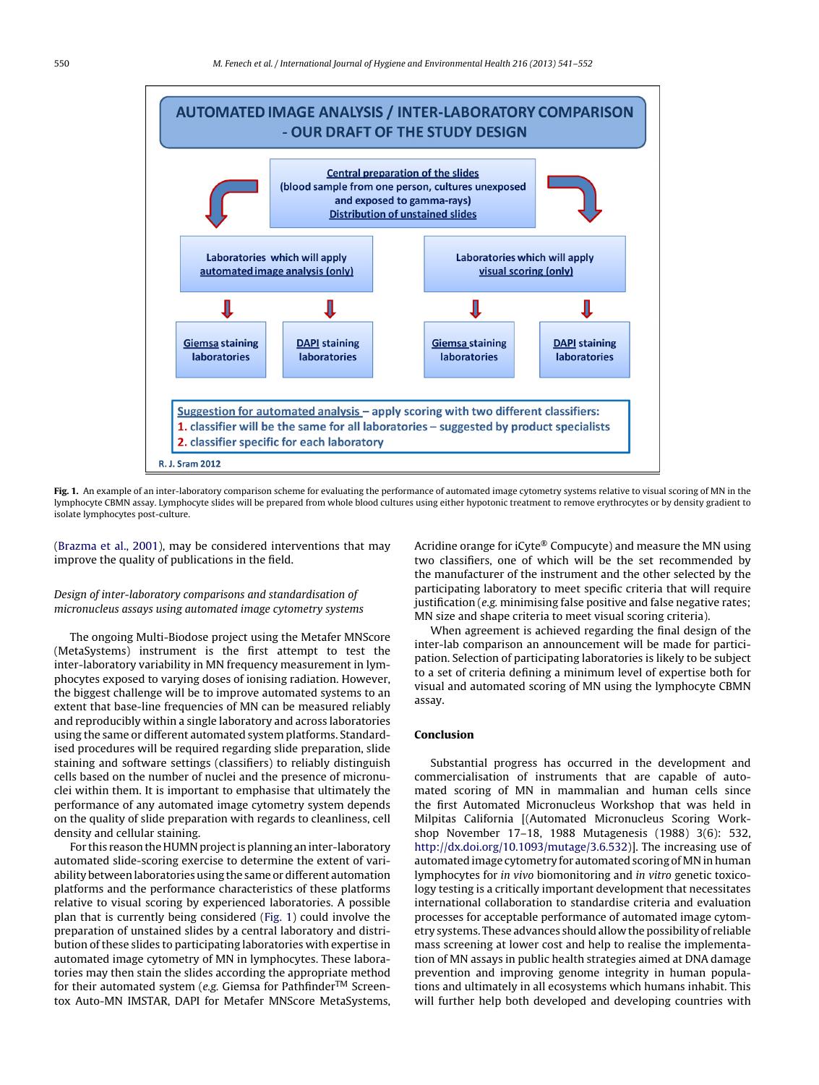

**Fig. 1.** An example of an inter-laboratory comparison scheme for evaluating the performance of automated image cytometry systems relative to visual scoring of MN in the lymphocyte CBMN assay. Lymphocyte slides will be prepared from whole blood cultures using either hypotonic treatment to remove erythrocytes or by density gradient to isolate lymphocytes post-culture.

([Brazma](#page-10-0) et [al.,](#page-10-0) [2001\),](#page-10-0) may be considered interventions that may improve the quality of publications in the field.

# Design of inter-laboratory comparisons and standardisation of micronucleus assays using automated image cytometry systems

The ongoing Multi-Biodose project using the Metafer MNScore (MetaSystems) instrument is the first attempt to test the inter-laboratory variability in MN frequency measurement in lymphocytes exposed to varying doses of ionising radiation. However, the biggest challenge will be to improve automated systems to an extent that base-line frequencies of MN can be measured reliably and reproducibly within a single laboratory and across laboratories using the same or different automated system platforms. Standardised procedures will be required regarding slide preparation, slide staining and software settings (classifiers) to reliably distinguish cells based on the number of nuclei and the presence of micronuclei within them. It is important to emphasise that ultimately the performance of any automated image cytometry system depends on the quality of slide preparation with regards to cleanliness, cell density and cellular staining.

For this reason the HUMN project is planning an inter-laboratory automated slide-scoring exercise to determine the extent of variability between laboratories using the same or different automation platforms and the performance characteristics of these platforms relative to visual scoring by experienced laboratories. A possible plan that is currently being considered (Fig. 1) could involve the preparation of unstained slides by a central laboratory and distribution of these slides to participating laboratories with expertise in automated image cytometry of MN in lymphocytes. These laboratories may then stain the slides according the appropriate method for their automated system (e.g. Giemsa for Pathfinder<sup>TM</sup> Screentox Auto-MN IMSTAR, DAPI for Metafer MNScore MetaSystems, Acridine orange for iCyte® Compucyte) and measure the MN using two classifiers, one of which will be the set recommended by the manufacturer of the instrument and the other selected by the participating laboratory to meet specific criteria that will require justification (e.g. minimising false positive and false negative rates; MN size and shape criteria to meet visual scoring criteria).

When agreement is achieved regarding the final design of the inter-lab comparison an announcement will be made for participation. Selection of participating laboratories is likely to be subject to a set of criteria defining a minimum level of expertise both for visual and automated scoring of MN using the lymphocyte CBMN assay.

## **Conclusion**

Substantial progress has occurred in the development and commercialisation of instruments that are capable of automated scoring of MN in mammalian and human cells since the first Automated Micronucleus Workshop that was held in Milpitas California [(Automated Micronucleus Scoring Workshop November 17–18, 1988 Mutagenesis (1988) 3(6): 532, [http://dx.doi.org/10.1093/mutage/3.6.532\)](http://dx.doi.org/10.1093/mutage/3.6.532)]. The increasing use of automated image cytometry for automated scoring ofMN in human lymphocytes for in vivo biomonitoring and in vitro genetic toxicology testing is a critically important development that necessitates international collaboration to standardise criteria and evaluation processes for acceptable performance of automated image cytometry systems. These advances should allow the possibility of reliable mass screening at lower cost and help to realise the implementation of MN assays in public health strategies aimed at DNA damage prevention and improving genome integrity in human populations and ultimately in all ecosystems which humans inhabit. This will further help both developed and developing countries with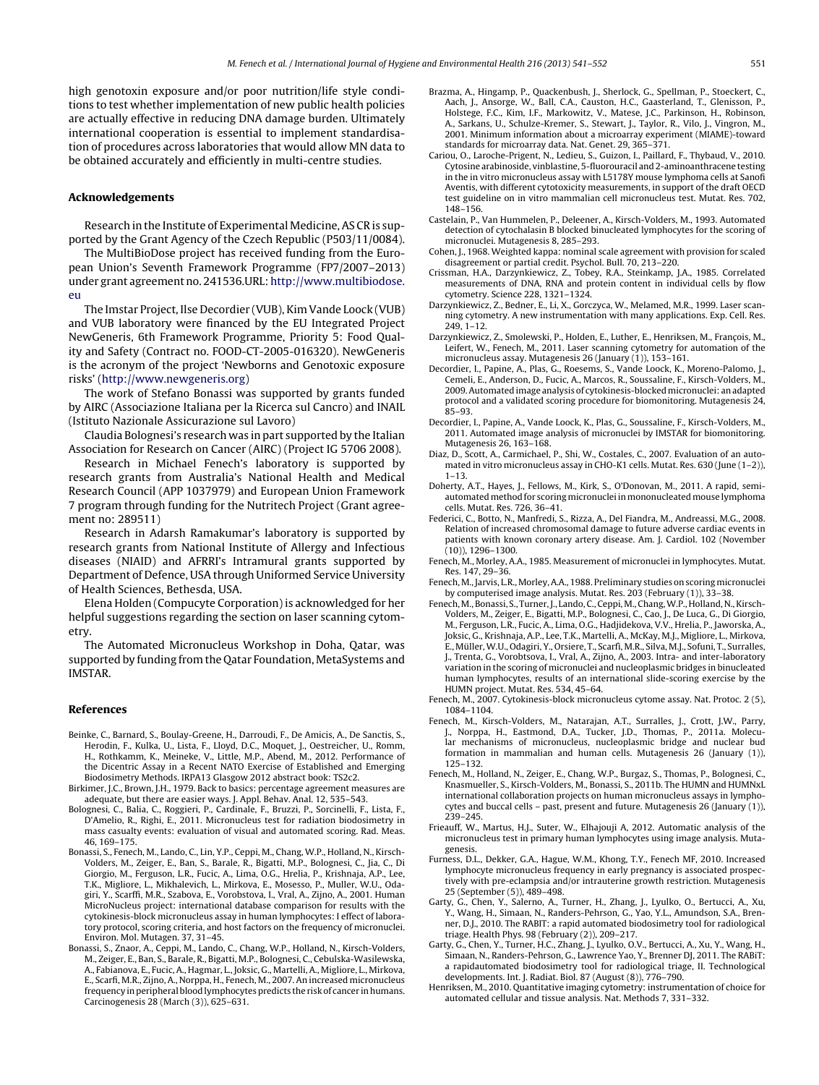<span id="page-10-0"></span>high genotoxin exposure and/or poor nutrition/life style conditions to test whether implementation of new public health policies are actually effective in reducing DNA damage burden. Ultimately international cooperation is essential to implement standardisation of procedures across laboratories that would allow MN data to be obtained accurately and efficiently in multi-centre studies.

#### **Acknowledgements**

Research in the Institute of Experimental Medicine,AS CR is supported by the Grant Agency of the Czech Republic (P503/11/0084).

The MultiBioDose project has received funding from the European Union's Seventh Framework Programme (FP7/2007–2013) under grant agreement no. 241536.URL: [http://www.multibiodose.](http://www.multibiodose.eu/) [eu](http://www.multibiodose.eu/)

The Imstar Project, Ilse Decordier (VUB), Kim Vande Loock (VUB) and VUB laboratory were financed by the EU Integrated Project NewGeneris, 6th Framework Programme, Priority 5: Food Quality and Safety (Contract no. FOOD-CT-2005-016320). NewGeneris is the acronym of the project 'Newborns and Genotoxic exposure risks' ([http://www.newgeneris.org\)](http://www.newgeneris.org/)

The work of Stefano Bonassi was supported by grants funded by AIRC (Associazione Italiana per la Ricerca sul Cancro) and INAIL (Istituto Nazionale Assicurazione sul Lavoro)

Claudia Bolognesi's research was in part supported by the Italian Association for Research on Cancer (AIRC) (Project IG 5706 2008).

Research in Michael Fenech's laboratory is supported by research grants from Australia's National Health and Medical Research Council (APP 1037979) and European Union Framework 7 program through funding for the Nutritech Project (Grant agreement no: 289511)

Research in Adarsh Ramakumar's laboratory is supported by research grants from National Institute of Allergy and Infectious diseases (NIAID) and AFRRI's Intramural grants supported by Department of Defence, USA through Uniformed Service University of Health Sciences, Bethesda, USA.

Elena Holden (Compucyte Corporation) is acknowledged for her helpful suggestions regarding the section on laser scanning cytometry.

The Automated Micronucleus Workshop in Doha, Qatar, was supported by funding from the Qatar Foundation, MetaSystems and IMSTAR.

# **References**

- Beinke, C., Barnard, S., Boulay-Greene, H., Darroudi, F., De Amicis, A., De Sanctis, S., Herodin, F., Kulka, U., Lista, F., Lloyd, D.C., Moquet, J., Oestreicher, U., Romm, H., Rothkamm, K., Meineke, V., Little, M.P., Abend, M., 2012. Performance of the Dicentric Assay in a Recent NATO Exercise of Established and Emerging Biodosimetry Methods. IRPA13 Glasgow 2012 abstract book: TS2c2.
- Birkimer, J.C., Brown, J.H., 1979. Back to basics: percentage agreement measures are adequate, but there are easier ways. J. Appl. Behav. Anal. 12, 535–543.
- Bolognesi, C., Balia, C., Roggieri, P., Cardinale, F., Bruzzi, P., Sorcinelli, F., Lista, F., D'Amelio, R., Righi, E., 2011. Micronucleus test for radiation biodosimetry in mass casualty events: evaluation of visual and automated scoring. Rad. Meas. 46, 169–175.
- Bonassi, S., Fenech, M., Lando, C., Lin, Y.P., Ceppi, M., Chang, W.P., Holland, N., Kirsch-Volders, M., Zeiger, E., Ban, S., Barale, R., Bigatti, M.P., Bolognesi, C., Jia, C., Di Giorgio, M., Ferguson, L.R., Fucic, A., Lima, O.G., Hrelia, P., Krishnaja, A.P., Lee, T.K., Migliore, L., Mikhalevich, L., Mirkova, E., Mosesso, P., Muller, W.U., Odagiri, Y., Scarffi, M.R., Szabova, E., Vorobstova, I., Vral, A., Zijno, A., 2001. Human MicroNucleus project: international database comparison for results with the cytokinesis-block micronucleus assay in human lymphocytes: I effect of laboratory protocol, scoring criteria, and host factors on the frequency of micronuclei. Environ. Mol. Mutagen. 37, 31–45.
- Bonassi, S., Znaor, A., Ceppi, M., Lando, C., Chang, W.P., Holland, N., Kirsch-Volders, M., Zeiger, E., Ban, S., Barale, R., Bigatti, M.P., Bolognesi, C., Cebulska-Wasilewska, A., Fabianova, E., Fucic, A., Hagmar, L., Joksic, G., Martelli, A., Migliore, L., Mirkova, E., Scarfi, M.R., Zijno, A., Norppa, H., Fenech, M., 2007. An increased micronucleus frequency in peripheral blood lymphocytes predicts the risk of cancer in humans. Carcinogenesis 28 (March (3)), 625–631.
- Brazma, A., Hingamp, P., Quackenbush, J., Sherlock, G., Spellman, P., Stoeckert, C., Aach, J., Ansorge, W., Ball, C.A., Causton, H.C., Gaasterland, T., Glenisson, P., Holstege, F.C., Kim, I.F., Markowitz, V., Matese, J.C., Parkinson, H., Robinson, A., Sarkans, U., Schulze-Kremer, S., Stewart, J., Taylor, R., Vilo, J., Vingron, M., 2001. Minimum information about a microarray experiment (MIAME)-toward standards for microarray data. Nat. Genet. 29, 365–371.
- Cariou, O., Laroche-Prigent, N., Ledieu, S., Guizon, I., Paillard, F., Thybaud, V., 2010. Cytosine arabinoside, vinblastine, 5-fluorouracil and 2-aminoanthracene testing in the in vitro micronucleus assay with L5178Y mouse lymphoma cells at Sanofi Aventis, with different cytotoxicity measurements, in support of the draft OECD test guideline on in vitro mammalian cell micronucleus test. Mutat. Res. 702, 148–156.
- Castelain, P., Van Hummelen, P., Deleener, A., Kirsch-Volders, M., 1993. Automated detection of cytochalasin B blocked binucleated lymphocytes for the scoring of micronuclei. Mutagenesis 8, 285–293.
- Cohen, J., 1968. Weighted kappa: nominal scale agreement with provision for scaled disagreement or partial credit. Psychol. Bull. 70, 213–220.
- Crissman, H.A., Darzynkiewicz, Z., Tobey, R.A., Steinkamp, J.A., 1985. Correlated measurements of DNA, RNA and protein content in individual cells by flow cytometry. Science 228, 1321–1324.
- Darzynkiewicz, Z., Bedner, E., Li, X., Gorczyca, W., Melamed, M.R., 1999. Laser scanning cytometry. A new instrumentation with many applications. Exp. Cell. Res.  $249.1 - 12.$
- Darzynkiewicz, Z., Smolewski, P., Holden, E., Luther, E., Henriksen, M., François, M., Leifert, W., Fenech, M., 2011. Laser scanning cytometry for automation of the micronucleus assay. Mutagenesis 26 (January (1)), 153–161.
- Decordier, I., Papine, A., Plas, G., Roesems, S., Vande Loock, K., Moreno-Palomo, J., Cemeli, E., Anderson, D., Fucic, A., Marcos, R., Soussaline, F., Kirsch-Volders, M., 2009. Automated image analysis of cytokinesis-blocked micronuclei: an adapted protocol and a validated scoring procedure for biomonitoring. Mutagenesis 24, 85–93.
- Decordier, I., Papine, A., Vande Loock, K., Plas, G., Soussaline, F., Kirsch-Volders, M., 2011. Automated image analysis of micronuclei by IMSTAR for biomonitoring. Mutagenesis 26, 163–168.
- Diaz, D., Scott, A., Carmichael, P., Shi, W., Costales, C., 2007. Evaluation of an automated in vitro micronucleus assay in CHO-K1 cells. Mutat. Res. 630 (June (1-2)), 1–13.
- Doherty, A.T., Hayes, J., Fellows, M., Kirk, S., O'Donovan, M., 2011. A rapid, semiautomated method for scoring micronuclei in mononucleated mouse lymphoma cells. Mutat. Res. 726, 36–41.
- Federici, C., Botto, N., Manfredi, S., Rizza, A., Del Fiandra, M., Andreassi, M.G., 2008. Relation of increased chromosomal damage to future adverse cardiac events in patients with known coronary artery disease. Am. J. Cardiol. 102 (November  $(10)$ ), 1296–1300.
- Fenech, M., Morley, A.A., 1985. Measurement of micronuclei in lymphocytes. Mutat. Res. 147, 29–36.
- Fenech,M.,Jarvis, L.R.,Morley,A.A., 1988. Preliminary studies on scoringmicronuclei by computerised image analysis. Mutat. Res. 203 (February (1)), 33–38.
- Fenech, M., Bonassi, S., Turner, J., Lando, C., Ceppi, M., Chang, W.P., Holland, N., Kirsch-Volders, M., Zeiger, E., Bigatti, M.P., Bolognesi, C., Cao, J., De Luca, G., Di Giorgio, M., Ferguson, L.R., Fucic, A., Lima, O.G., Hadjidekova, V.V., Hrelia, P., Jaworska, A., Joksic, G., Krishnaja, A.P., Lee, T.K., Martelli, A., McKay, M.J., Migliore, L., Mirkova, E., Müller,W.U., Odagiri, Y., Orsiere, T., Scarfì, M.R., Silva, M.J., Sofuni, T., Surralles, J., Trenta, G., Vorobtsova, I., Vral, A., Zijno, A., 2003. Intra- and inter-laboratory variation in the scoring of micronuclei and nucleoplasmic bridges in binucleated human lymphocytes, results of an international slide-scoring exercise by the HUMN project. Mutat. Res. 534, 45–64.
- Fenech, M., 2007. Cytokinesis-block micronucleus cytome assay. Nat. Protoc. 2 (5), 1084–1104.
- Fenech, M., Kirsch-Volders, M., Natarajan, A.T., Surralles, J., Crott, J.W., Parry, J., Norppa, H., Eastmond, D.A., Tucker, J.D., Thomas, P., 2011a. Molecular mechanisms of micronucleus, nucleoplasmic bridge and nuclear bud formation in mammalian and human cells. Mutagenesis 26 (January (1)), 125–132.
- Fenech, M., Holland, N., Zeiger, E., Chang, W.P., Burgaz, S., Thomas, P., Bolognesi, C., Knasmueller, S., Kirsch-Volders, M., Bonassi, S., 2011b. The HUMN and HUMNxL international collaboration projects on human micronucleus assays in lymphocytes and buccal cells – past, present and future. Mutagenesis 26 (January (1)), 239–245.
- Frieauff, W., Martus, H.J., Suter, W., Elhajouji A, 2012. Automatic analysis of the micronucleus test in primary human lymphocytes using image analysis. Mutagenesis.
- Furness, D.L., Dekker, G.A., Hague, W.M., Khong, T.Y., Fenech MF, 2010. Increased lymphocyte micronucleus frequency in early pregnancy is associated prospectively with pre-eclampsia and/or intrauterine growth restriction. Mutagenesis 25 (September (5)), 489–498.
- Garty, G., Chen, Y., Salerno, A., Turner, H., Zhang, J., Lyulko, O., Bertucci, A., Xu, Y., Wang, H., Simaan, N., Randers-Pehrson, G., Yao, Y.L., Amundson, S.A., Brenner, D.J., 2010. The RABIT: a rapid automated biodosimetry tool for radiological triage. Health Phys. 98 (February (2)), 209–217.
- Garty, G., Chen, Y., Turner, H.C., Zhang, J., Lyulko, O.V., Bertucci, A., Xu, Y., Wang, H., Simaan, N., Randers-Pehrson, G., Lawrence Yao, Y., Brenner DJ, 2011. The RABiT: a rapidautomated biodosimetry tool for radiological triage, II. Technological developments. Int. J. Radiat. Biol. 87 (August (8)), 776–790.
- Henriksen, M., 2010. Quantitative imaging cytometry: instrumentation of choice for automated cellular and tissue analysis. Nat. Methods 7, 331–332.